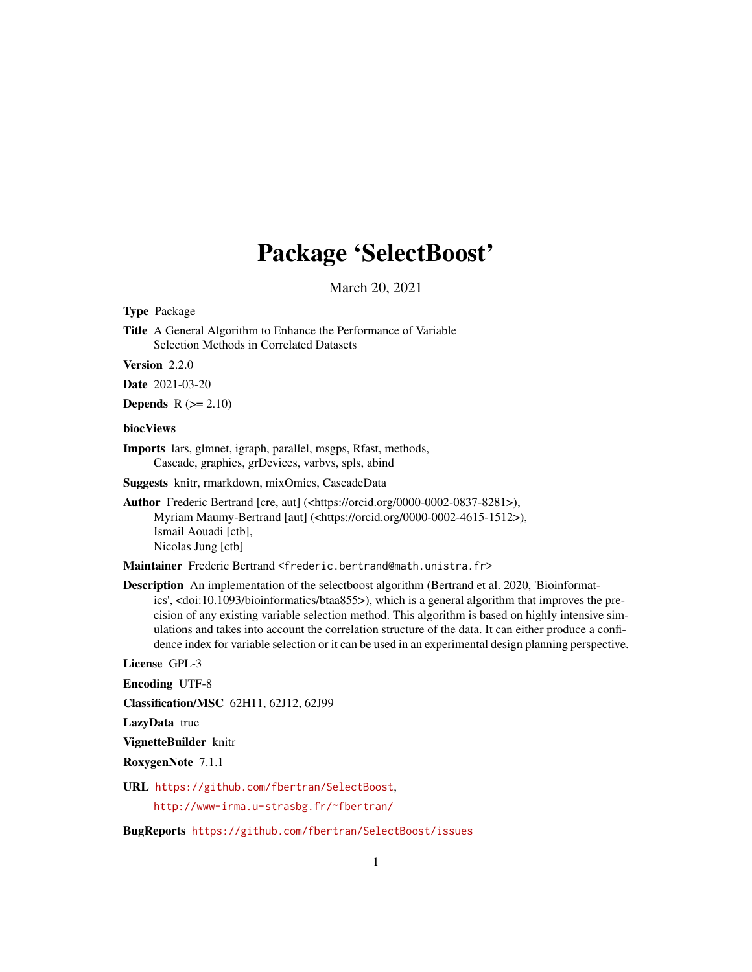# Package 'SelectBoost'

March 20, 2021

<span id="page-0-0"></span>Type Package

Title A General Algorithm to Enhance the Performance of Variable Selection Methods in Correlated Datasets

Version 2.2.0

Date 2021-03-20

Depends  $R (= 2.10)$ 

#### biocViews

Imports lars, glmnet, igraph, parallel, msgps, Rfast, methods, Cascade, graphics, grDevices, varbvs, spls, abind

Suggests knitr, rmarkdown, mixOmics, CascadeData

Author Frederic Bertrand [cre, aut] (<https://orcid.org/0000-0002-0837-8281>), Myriam Maumy-Bertrand [aut] (<https://orcid.org/0000-0002-4615-1512>), Ismail Aouadi [ctb], Nicolas Jung [ctb]

Maintainer Frederic Bertrand <frederic.bertrand@math.unistra.fr>

Description An implementation of the selectboost algorithm (Bertrand et al. 2020, 'Bioinformatics', <doi:10.1093/bioinformatics/btaa855>), which is a general algorithm that improves the precision of any existing variable selection method. This algorithm is based on highly intensive simulations and takes into account the correlation structure of the data. It can either produce a confidence index for variable selection or it can be used in an experimental design planning perspective.

License GPL-3

Encoding UTF-8

Classification/MSC 62H11, 62J12, 62J99

LazyData true

VignetteBuilder knitr

RoxygenNote 7.1.1

URL <https://github.com/fbertran/SelectBoost>,

<http://www-irma.u-strasbg.fr/~fbertran/>

BugReports <https://github.com/fbertran/SelectBoost/issues>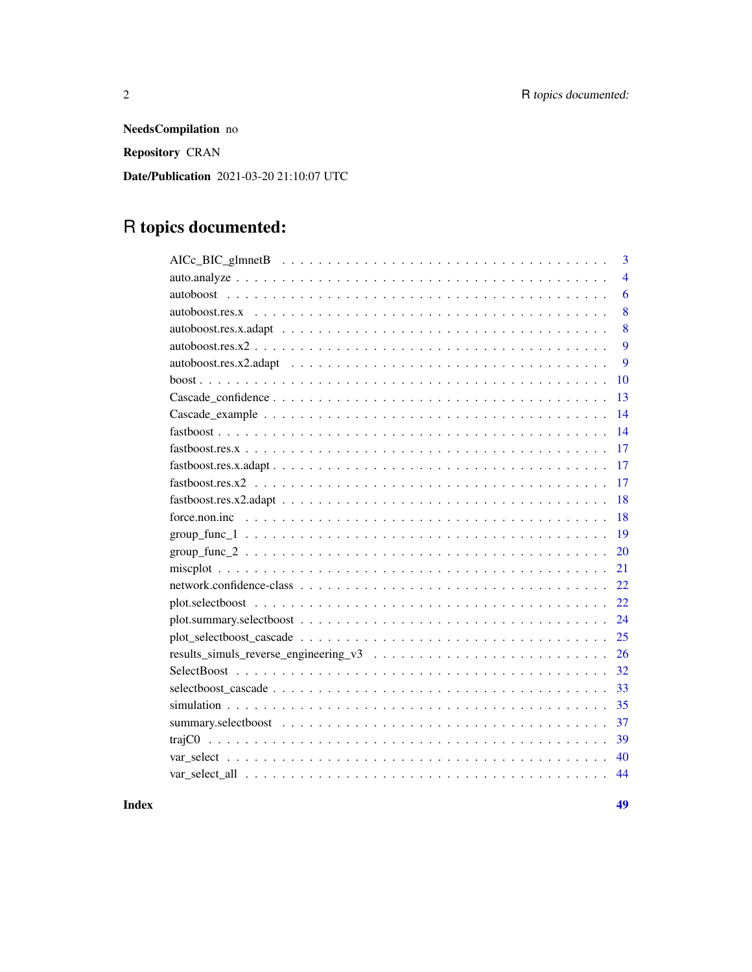NeedsCompilation no Repository CRAN Date/Publication 2021-03-20 21:10:07 UTC

# R topics documented:

| 3                                                                                                                                                                                                                                                                                                                                                                                                                              |
|--------------------------------------------------------------------------------------------------------------------------------------------------------------------------------------------------------------------------------------------------------------------------------------------------------------------------------------------------------------------------------------------------------------------------------|
| $\overline{4}$                                                                                                                                                                                                                                                                                                                                                                                                                 |
| 6                                                                                                                                                                                                                                                                                                                                                                                                                              |
| 8<br>$autoboost. res. x \n\t\ldots \n\t\ldots \n\t\ldots \n\t\ldots \n\t\ldots \n\t\ldots \n\t\ldots \n\t\ldots \n\t\ldots \n\t\ldots \n\t\ldots \n\t\ldots \n\t\ldots \n\t\ldots \n\t\ldots \n\t\ldots \n\t\ldots \n\t\ldots \n\t\ldots \n\t\ldots \n\t\ldots \n\t\ldots \n\t\ldots \n\t\ldots \n\t\ldots \n\t\ldots \n\t\ldots \n\t\ldots \n\t\ldots \n\t\ldots \n\t\ldots \n\t\ldots \n\t\ldots \n\t\ldots \n\t\ldots \n\t$ |
| 8                                                                                                                                                                                                                                                                                                                                                                                                                              |
| 9                                                                                                                                                                                                                                                                                                                                                                                                                              |
| 9                                                                                                                                                                                                                                                                                                                                                                                                                              |
| 10                                                                                                                                                                                                                                                                                                                                                                                                                             |
| 13                                                                                                                                                                                                                                                                                                                                                                                                                             |
| 14                                                                                                                                                                                                                                                                                                                                                                                                                             |
| 14                                                                                                                                                                                                                                                                                                                                                                                                                             |
| 17                                                                                                                                                                                                                                                                                                                                                                                                                             |
| 17                                                                                                                                                                                                                                                                                                                                                                                                                             |
| 17                                                                                                                                                                                                                                                                                                                                                                                                                             |
| 18                                                                                                                                                                                                                                                                                                                                                                                                                             |
| 18                                                                                                                                                                                                                                                                                                                                                                                                                             |
| 19                                                                                                                                                                                                                                                                                                                                                                                                                             |
| 20                                                                                                                                                                                                                                                                                                                                                                                                                             |
| 21                                                                                                                                                                                                                                                                                                                                                                                                                             |
| 22                                                                                                                                                                                                                                                                                                                                                                                                                             |
| 22                                                                                                                                                                                                                                                                                                                                                                                                                             |
| 24                                                                                                                                                                                                                                                                                                                                                                                                                             |
| 25                                                                                                                                                                                                                                                                                                                                                                                                                             |
| 26                                                                                                                                                                                                                                                                                                                                                                                                                             |
| 32                                                                                                                                                                                                                                                                                                                                                                                                                             |
| 33                                                                                                                                                                                                                                                                                                                                                                                                                             |
| 35                                                                                                                                                                                                                                                                                                                                                                                                                             |
| 37                                                                                                                                                                                                                                                                                                                                                                                                                             |
| 39                                                                                                                                                                                                                                                                                                                                                                                                                             |
| 40                                                                                                                                                                                                                                                                                                                                                                                                                             |
| 44                                                                                                                                                                                                                                                                                                                                                                                                                             |

**Index a** set of the contract of the contract of the contract of the contract of the contract of the contract of the contract of the contract of the contract of the contract of the contract of the contract of the contrac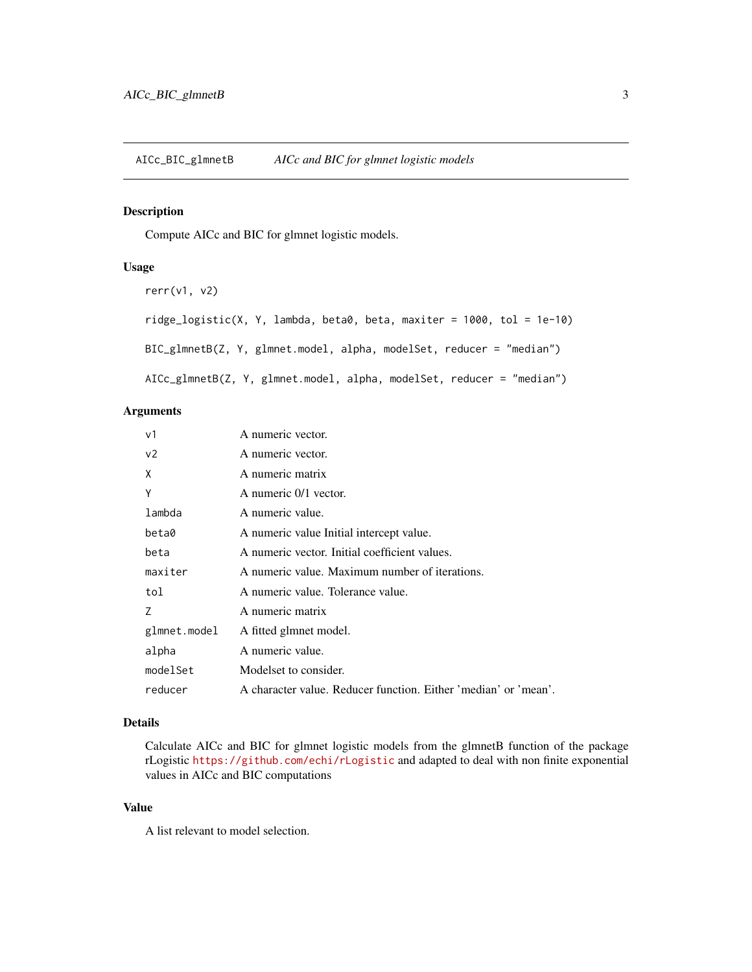## <span id="page-2-1"></span><span id="page-2-0"></span>Description

Compute AICc and BIC for glmnet logistic models.

#### Usage

```
rerr(v1, v2)
ridge\_logistic(X, Y, lambda, beta0, beta, maxiter = 1000, tol = 1e-10)BIC_glmnetB(Z, Y, glmnet.model, alpha, modelSet, reducer = "median")
AICc_glmnetB(Z, Y, glmnet.model, alpha, modelSet, reducer = "median")
```
## Arguments

| v1             | A numeric vector.                                               |
|----------------|-----------------------------------------------------------------|
| v <sub>2</sub> | A numeric vector.                                               |
| X              | A numeric matrix                                                |
| Y              | A numeric 0/1 vector.                                           |
| lambda         | A numeric value.                                                |
| beta0          | A numeric value Initial intercept value.                        |
| beta           | A numeric vector. Initial coefficient values.                   |
| maxiter        | A numeric value. Maximum number of iterations.                  |
| tol            | A numeric value. Tolerance value.                               |
| 7              | A numeric matrix                                                |
| glmnet.model   | A fitted glmnet model.                                          |
| alpha          | A numeric value.                                                |
| modelSet       | Modelset to consider.                                           |
| reducer        | A character value. Reducer function. Either 'median' or 'mean'. |

## Details

Calculate AICc and BIC for glmnet logistic models from the glmnetB function of the package rLogistic <https://github.com/echi/rLogistic> and adapted to deal with non finite exponential values in AICc and BIC computations

## Value

A list relevant to model selection.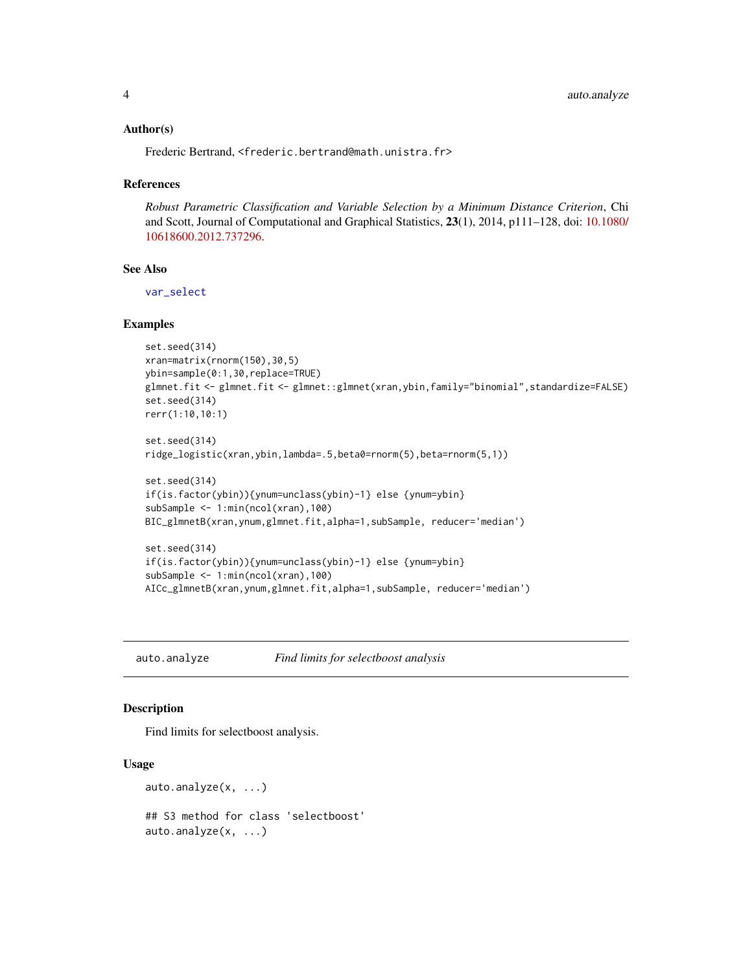#### <span id="page-3-0"></span>Author(s)

Frederic Bertrand, <frederic.bertrand@math.unistra.fr>

#### References

*Robust Parametric Classification and Variable Selection by a Minimum Distance Criterion*, Chi and Scott, Journal of Computational and Graphical Statistics, 23(1), 2014, p111–128, doi: [10.1080/](https://doi.org/10.1080/10618600.2012.737296) [10618600.2012.737296.](https://doi.org/10.1080/10618600.2012.737296)

## See Also

[var\\_select](#page-39-1)

## Examples

```
set.seed(314)
xran=matrix(rnorm(150),30,5)
ybin=sample(0:1,30,replace=TRUE)
glmnet.fit <- glmnet.fit <- glmnet::glmnet(xran,ybin,family="binomial",standardize=FALSE)
set.seed(314)
rerr(1:10,10:1)
set.seed(314)
ridge_logistic(xran,ybin,lambda=.5,beta0=rnorm(5),beta=rnorm(5,1))
```

```
set.seed(314)
if(is.factor(ybin)){ynum=unclass(ybin)-1} else {ynum=ybin}
subSample <- 1:min(ncol(xran),100)
BIC_glmnetB(xran,ynum,glmnet.fit,alpha=1,subSample, reducer='median')
```

```
set.seed(314)
if(is.factor(ybin)){ynum=unclass(ybin)-1} else {ynum=ybin}
subSample <- 1:min(ncol(xran),100)
AICc_glmnetB(xran,ynum,glmnet.fit,alpha=1,subSample, reducer='median')
```
<span id="page-3-1"></span>auto.analyze *Find limits for selectboost analysis*

## Description

Find limits for selectboost analysis.

#### Usage

```
auto.analyze(x, ...)
## S3 method for class 'selectboost'
auto.analyze(x, ...)
```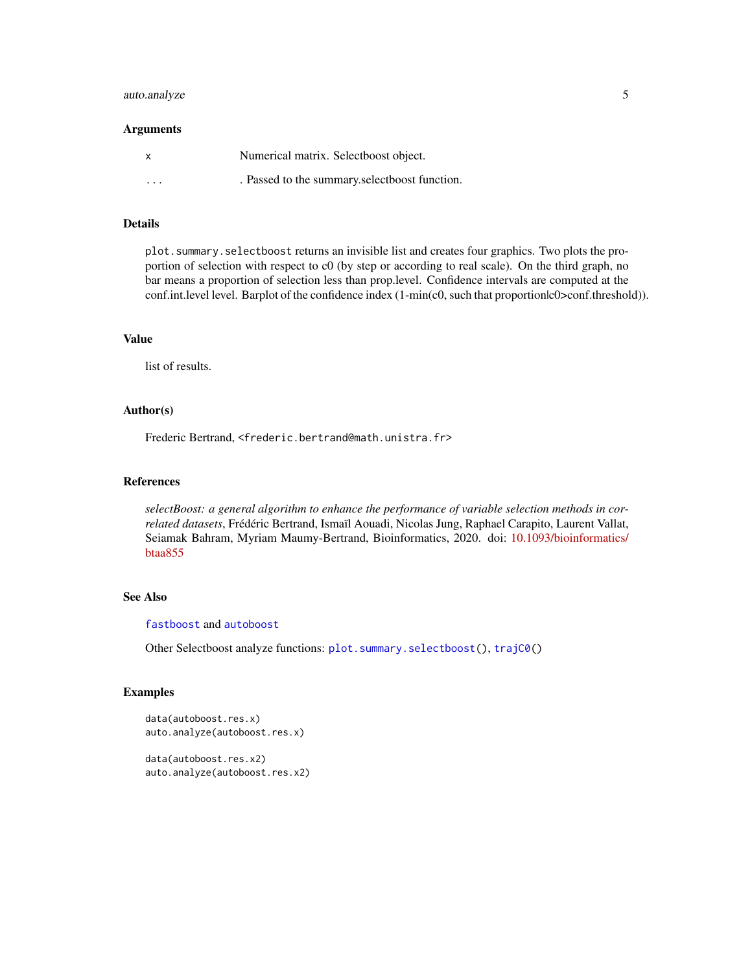## <span id="page-4-0"></span>auto.analyze 5

#### Arguments

| X                       | Numerical matrix. Selectboost object.         |
|-------------------------|-----------------------------------------------|
| $\cdot$ $\cdot$ $\cdot$ | . Passed to the summary selectboost function. |

## Details

plot.summary.selectboost returns an invisible list and creates four graphics. Two plots the proportion of selection with respect to c0 (by step or according to real scale). On the third graph, no bar means a proportion of selection less than prop.level. Confidence intervals are computed at the conf.int.level level. Barplot of the confidence index (1-min(c0, such that proportionlc0>conf.threshold)).

#### Value

list of results.

#### Author(s)

Frederic Bertrand, <frederic.bertrand@math.unistra.fr>

#### References

*selectBoost: a general algorithm to enhance the performance of variable selection methods in correlated datasets*, Frédéric Bertrand, Ismaïl Aouadi, Nicolas Jung, Raphael Carapito, Laurent Vallat, Seiamak Bahram, Myriam Maumy-Bertrand, Bioinformatics, 2020. doi: [10.1093/bioinformatics/](https://doi.org/10.1093/bioinformatics/btaa855) [btaa855](https://doi.org/10.1093/bioinformatics/btaa855)

## See Also

[fastboost](#page-13-1) and [autoboost](#page-5-1)

Other Selectboost analyze functions: [plot.summary.selectboost\(](#page-23-1)), [trajC0\(](#page-38-1))

#### Examples

```
data(autoboost.res.x)
auto.analyze(autoboost.res.x)
data(autoboost.res.x2)
```
auto.analyze(autoboost.res.x2)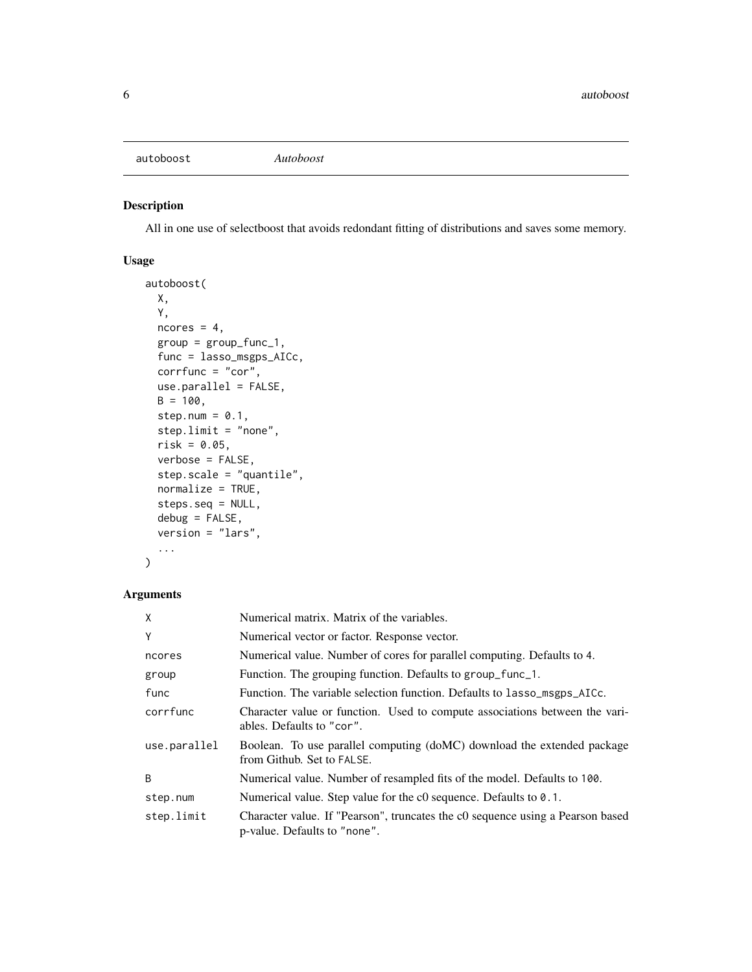<span id="page-5-1"></span><span id="page-5-0"></span>autoboost *Autoboost*

## Description

All in one use of selectboost that avoids redondant fitting of distributions and saves some memory.

## Usage

```
autoboost(
 X,
  Y,
 ncores = 4,
  group = group_func_1,
  func = lasso_msgps_AICc,
  corrfunc = "cor",
 use.parallel = FALSE,
 B = 100,step.num = 0.1,
  step.limit = "none",
  risk = 0.05,
  verbose = FALSE,
  step.scale = "quantile",
  normalize = TRUE,
  steps.seq = NULL,
  debug = FALSE,
  version = "lars",
  ...
```

```
\mathcal{L}
```
## Arguments

| X            | Numerical matrix. Matrix of the variables.                                                                     |
|--------------|----------------------------------------------------------------------------------------------------------------|
| Y            | Numerical vector or factor. Response vector.                                                                   |
| ncores       | Numerical value. Number of cores for parallel computing. Defaults to 4.                                        |
| group        | Function. The grouping function. Defaults to group_func_1.                                                     |
| func         | Function. The variable selection function. Defaults to lasso_msgps_AICc.                                       |
| corrfunc     | Character value or function. Used to compute associations between the vari-<br>ables. Defaults to "cor".       |
| use.parallel | Boolean. To use parallel computing (doMC) download the extended package<br>from Github. Set to FALSE.          |
| B            | Numerical value. Number of resampled fits of the model. Defaults to 100.                                       |
| step.num     | Numerical value. Step value for the c0 sequence. Defaults to 0.1.                                              |
| step.limit   | Character value. If "Pearson", truncates the c0 sequence using a Pearson based<br>p-value. Defaults to "none". |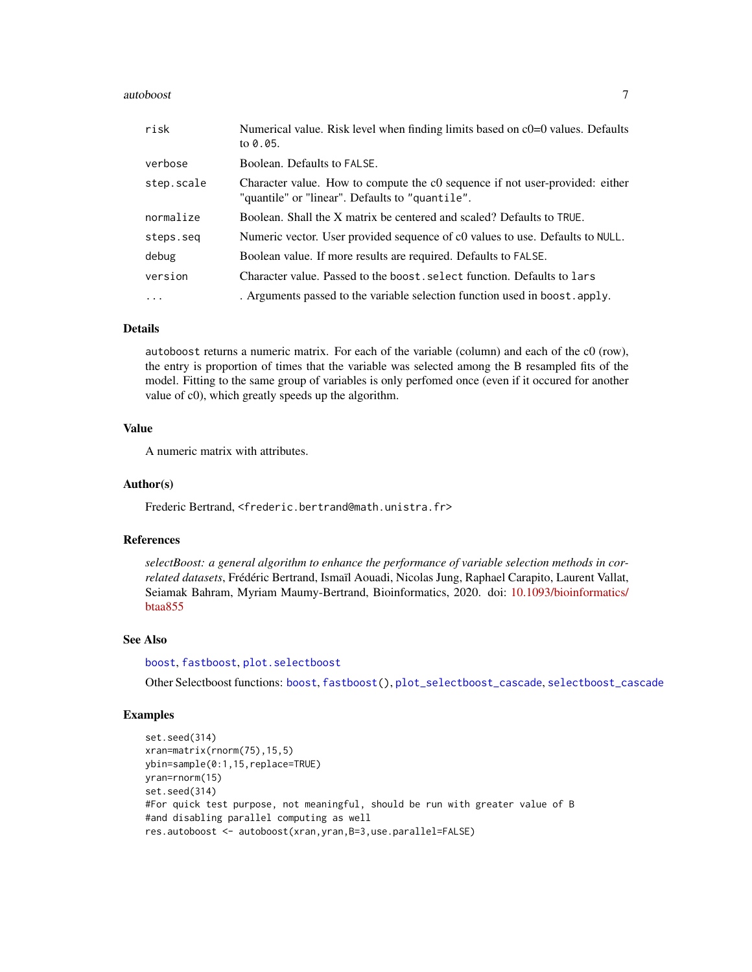#### <span id="page-6-0"></span>autoboost 7 autoboost 7 autoboost 7 autoboost 7 autoboost 7 autoboost 7 autoboost 7 autoboost 7 autoboost 7 au

| risk       | Numerical value. Risk level when finding limits based on $c0=0$ values. Defaults<br>to 0.05.                                    |
|------------|---------------------------------------------------------------------------------------------------------------------------------|
| verbose    | Boolean. Defaults to FALSE.                                                                                                     |
| step.scale | Character value. How to compute the c0 sequence if not user-provided: either<br>"quantile" or "linear". Defaults to "quantile". |
| normalize  | Boolean. Shall the X matrix be centered and scaled? Defaults to TRUE.                                                           |
| steps.seq  | Numeric vector. User provided sequence of c0 values to use. Defaults to NULL.                                                   |
| debug      | Boolean value. If more results are required. Defaults to FALSE.                                                                 |
| version    | Character value. Passed to the boost, select function. Defaults to lars                                                         |
| $\ddots$   | . Arguments passed to the variable selection function used in boost. apply.                                                     |

#### Details

autoboost returns a numeric matrix. For each of the variable (column) and each of the c0 (row), the entry is proportion of times that the variable was selected among the B resampled fits of the model. Fitting to the same group of variables is only perfomed once (even if it occured for another value of c0), which greatly speeds up the algorithm.

## Value

A numeric matrix with attributes.

## Author(s)

Frederic Bertrand, <frederic.bertrand@math.unistra.fr>

#### References

*selectBoost: a general algorithm to enhance the performance of variable selection methods in correlated datasets*, Frédéric Bertrand, Ismaïl Aouadi, Nicolas Jung, Raphael Carapito, Laurent Vallat, Seiamak Bahram, Myriam Maumy-Bertrand, Bioinformatics, 2020. doi: [10.1093/bioinformatics/](https://doi.org/10.1093/bioinformatics/btaa855) [btaa855](https://doi.org/10.1093/bioinformatics/btaa855)

#### See Also

[boost](#page-9-1), [fastboost](#page-13-1), [plot.selectboost](#page-21-1)

Other Selectboost functions: [boost](#page-9-1), [fastboost\(](#page-13-1)), [plot\\_selectboost\\_cascade](#page-24-1), [selectboost\\_cascade](#page-32-1)

## Examples

```
set.seed(314)
xran=matrix(rnorm(75),15,5)
ybin=sample(0:1,15,replace=TRUE)
yran=rnorm(15)
set.seed(314)
#For quick test purpose, not meaningful, should be run with greater value of B
#and disabling parallel computing as well
res.autoboost <- autoboost(xran,yran,B=3,use.parallel=FALSE)
```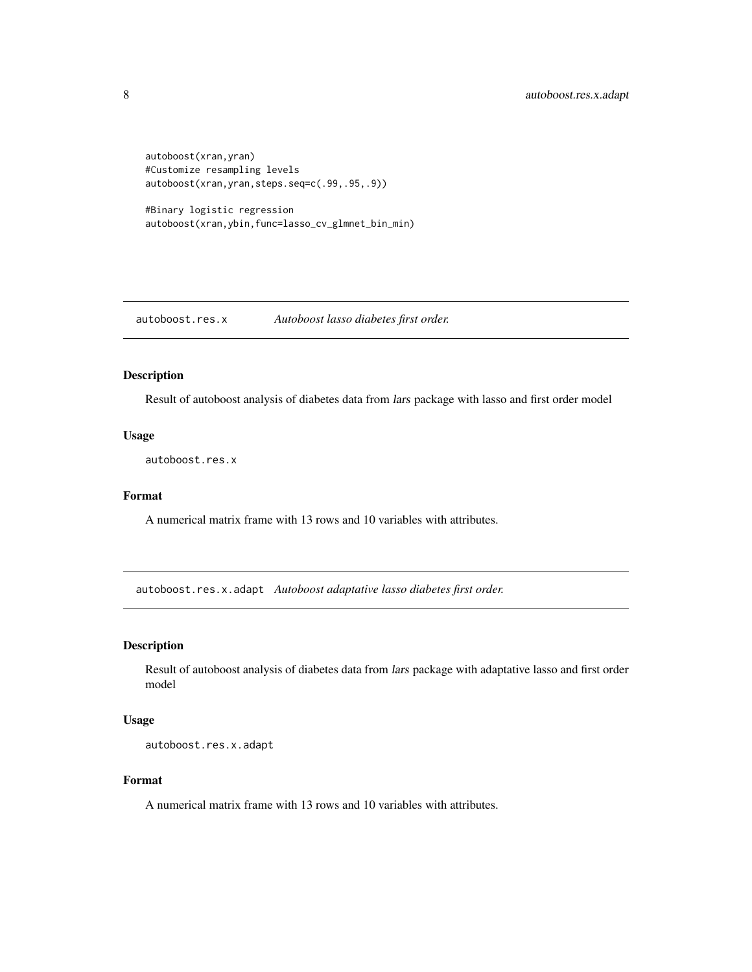```
autoboost(xran,yran)
#Customize resampling levels
autoboost(xran,yran,steps.seq=c(.99,.95,.9))
```

```
#Binary logistic regression
autoboost(xran,ybin,func=lasso_cv_glmnet_bin_min)
```
autoboost.res.x *Autoboost lasso diabetes first order.*

#### Description

Result of autoboost analysis of diabetes data from lars package with lasso and first order model

#### Usage

autoboost.res.x

#### Format

A numerical matrix frame with 13 rows and 10 variables with attributes.

autoboost.res.x.adapt *Autoboost adaptative lasso diabetes first order.*

#### Description

Result of autoboost analysis of diabetes data from lars package with adaptative lasso and first order model

#### Usage

autoboost.res.x.adapt

#### Format

A numerical matrix frame with 13 rows and 10 variables with attributes.

<span id="page-7-0"></span>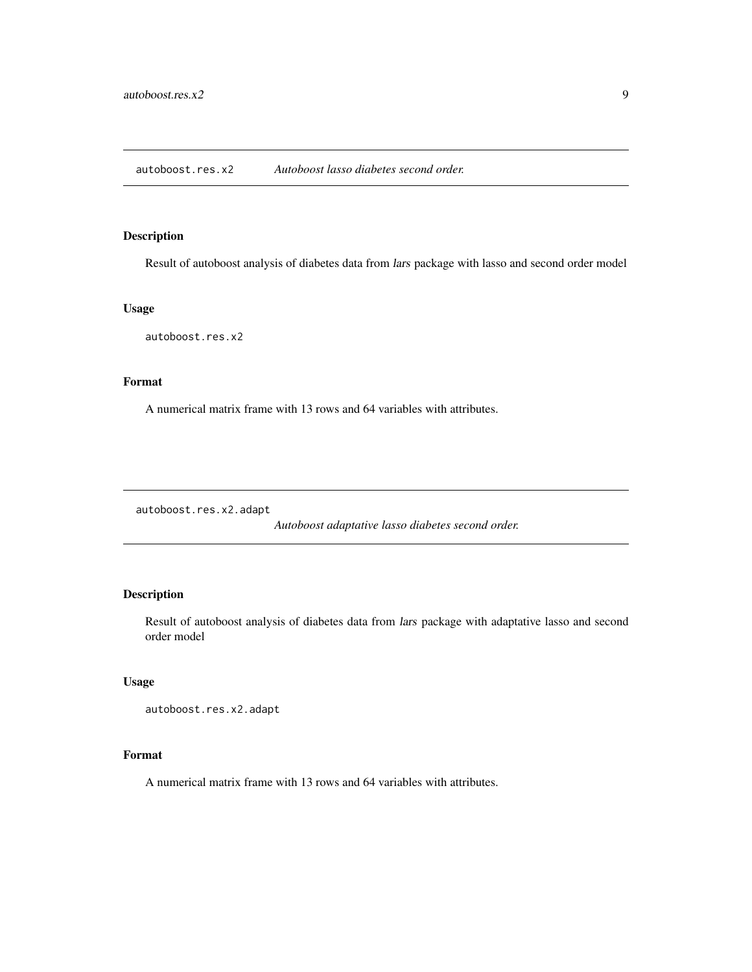## <span id="page-8-0"></span>Description

Result of autoboost analysis of diabetes data from lars package with lasso and second order model

## Usage

autoboost.res.x2

## Format

A numerical matrix frame with 13 rows and 64 variables with attributes.

autoboost.res.x2.adapt

*Autoboost adaptative lasso diabetes second order.*

## Description

Result of autoboost analysis of diabetes data from lars package with adaptative lasso and second order model

## Usage

```
autoboost.res.x2.adapt
```
#### Format

A numerical matrix frame with 13 rows and 64 variables with attributes.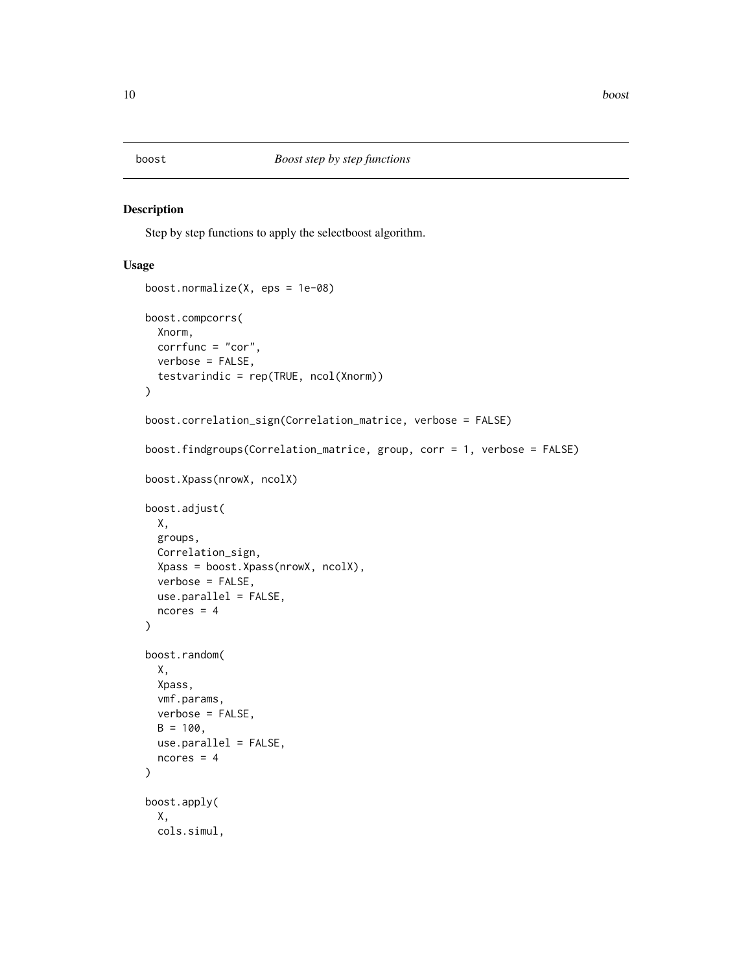<span id="page-9-1"></span><span id="page-9-0"></span>

## <span id="page-9-2"></span>Description

Step by step functions to apply the selectboost algorithm.

#### Usage

```
boost.normalize(X, eps = 1e-08)
boost.compcorrs(
 Xnorm,
 corrfunc = "cor",
 verbose = FALSE,
  testvarindic = rep(TRUE, ncol(Xnorm))
)
boost.correlation_sign(Correlation_matrice, verbose = FALSE)
boost.findgroups(Correlation_matrice, group, corr = 1, verbose = FALSE)
boost.Xpass(nrowX, ncolX)
boost.adjust(
 X,
 groups,
 Correlation_sign,
 Xpass = boost.Xpass(nrowX, ncolX),
 verbose = FALSE,
 use.parallel = FALSE,
 ncores = 4)
boost.random(
 X,
 Xpass,
 vmf.params,
 verbose = FALSE,
 B = 100,
 use.parallel = FALSE,
 ncores = 4)
boost.apply(
 X,
 cols.simul,
```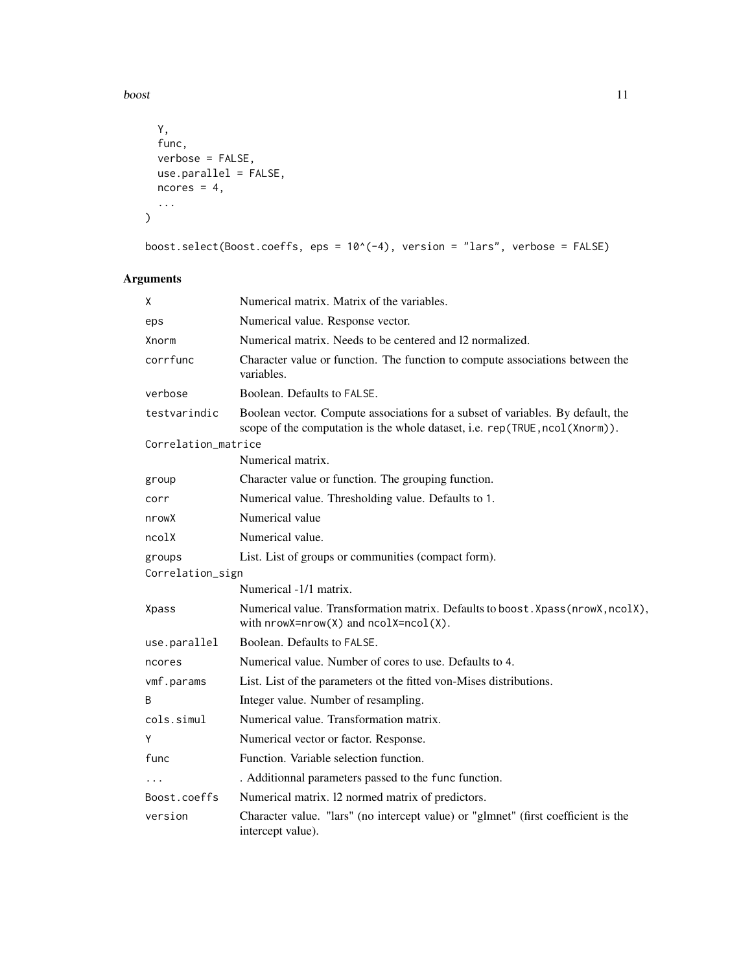boost 11

```
Y,
  func,
  verbose = FALSE,
  use.parallel = FALSE,
  ncores = 4,
  ...
\lambda
```
boost.select(Boost.coeffs, eps =  $10^*(-4)$ , version = "lars", verbose = FALSE)

## Arguments

| X                             | Numerical matrix. Matrix of the variables.                                                                                                                     |  |
|-------------------------------|----------------------------------------------------------------------------------------------------------------------------------------------------------------|--|
| eps                           | Numerical value. Response vector.                                                                                                                              |  |
| Xnorm                         | Numerical matrix. Needs to be centered and 12 normalized.                                                                                                      |  |
| corrfunc                      | Character value or function. The function to compute associations between the<br>variables.                                                                    |  |
| verbose                       | Boolean. Defaults to FALSE.                                                                                                                                    |  |
| testvarindic                  | Boolean vector. Compute associations for a subset of variables. By default, the<br>scope of the computation is the whole dataset, i.e. rep(TRUE, ncol(Xnorm)). |  |
| Correlation_matrice           |                                                                                                                                                                |  |
|                               | Numerical matrix.                                                                                                                                              |  |
| group                         | Character value or function. The grouping function.                                                                                                            |  |
| corr                          | Numerical value. Thresholding value. Defaults to 1.                                                                                                            |  |
| nrowX                         | Numerical value                                                                                                                                                |  |
| nco <sub>1</sub> <sub>X</sub> | Numerical value.                                                                                                                                               |  |
| groups                        | List. List of groups or communities (compact form).                                                                                                            |  |
| Correlation_sign              |                                                                                                                                                                |  |
|                               | Numerical -1/1 matrix.                                                                                                                                         |  |
| <b>Xpass</b>                  | Numerical value. Transformation matrix. Defaults to boost. Xpass(nrowX, ncolX),<br>with $nrowX=nrow(X)$ and $ncolX=ncol(X)$ .                                  |  |
| use.parallel                  | Boolean. Defaults to FALSE.                                                                                                                                    |  |
| ncores                        | Numerical value. Number of cores to use. Defaults to 4.                                                                                                        |  |
| vmf.params                    | List. List of the parameters ot the fitted von-Mises distributions.                                                                                            |  |
| B                             | Integer value. Number of resampling.                                                                                                                           |  |
| cols.simul                    | Numerical value. Transformation matrix.                                                                                                                        |  |
| Y                             | Numerical vector or factor. Response.                                                                                                                          |  |
| func                          | Function. Variable selection function.                                                                                                                         |  |
|                               | . Additionnal parameters passed to the func function.                                                                                                          |  |
| Boost.coeffs                  | Numerical matrix. 12 normed matrix of predictors.                                                                                                              |  |
| version                       | Character value. "lars" (no intercept value) or "glmnet" (first coefficient is the<br>intercept value).                                                        |  |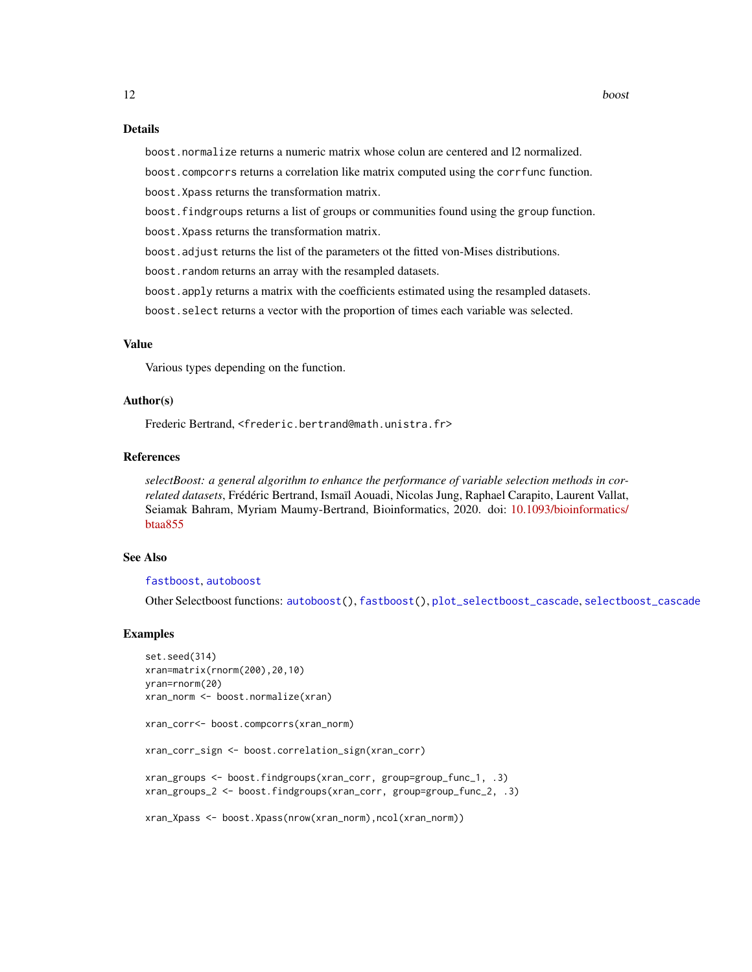## Details

boost.normalize returns a numeric matrix whose colun are centered and l2 normalized.

boost.compcorrs returns a correlation like matrix computed using the corrfunc function.

boost.Xpass returns the transformation matrix.

boost.findgroups returns a list of groups or communities found using the group function.

boost.Xpass returns the transformation matrix.

boost.adjust returns the list of the parameters ot the fitted von-Mises distributions.

boost.random returns an array with the resampled datasets.

boost.apply returns a matrix with the coefficients estimated using the resampled datasets.

boost.select returns a vector with the proportion of times each variable was selected.

## Value

Various types depending on the function.

#### Author(s)

Frederic Bertrand, <frederic.bertrand@math.unistra.fr>

#### References

*selectBoost: a general algorithm to enhance the performance of variable selection methods in correlated datasets*, Frédéric Bertrand, Ismaïl Aouadi, Nicolas Jung, Raphael Carapito, Laurent Vallat, Seiamak Bahram, Myriam Maumy-Bertrand, Bioinformatics, 2020. doi: [10.1093/bioinformatics/](https://doi.org/10.1093/bioinformatics/btaa855) [btaa855](https://doi.org/10.1093/bioinformatics/btaa855)

## See Also

## [fastboost](#page-13-1), [autoboost](#page-5-1)

Other Selectboost functions: [autoboost\(](#page-5-1)), [fastboost\(](#page-13-1)), [plot\\_selectboost\\_cascade](#page-24-1), [selectboost\\_cascade](#page-32-1)

#### Examples

```
set.seed(314)
xran=matrix(rnorm(200),20,10)
yran=rnorm(20)
xran_norm <- boost.normalize(xran)
xran_corr<- boost.compcorrs(xran_norm)
xran_corr_sign <- boost.correlation_sign(xran_corr)
xran_groups <- boost.findgroups(xran_corr, group=group_func_1, .3)
xran_groups_2 <- boost.findgroups(xran_corr, group=group_func_2, .3)
xran_Xpass <- boost.Xpass(nrow(xran_norm),ncol(xran_norm))
```
<span id="page-11-0"></span>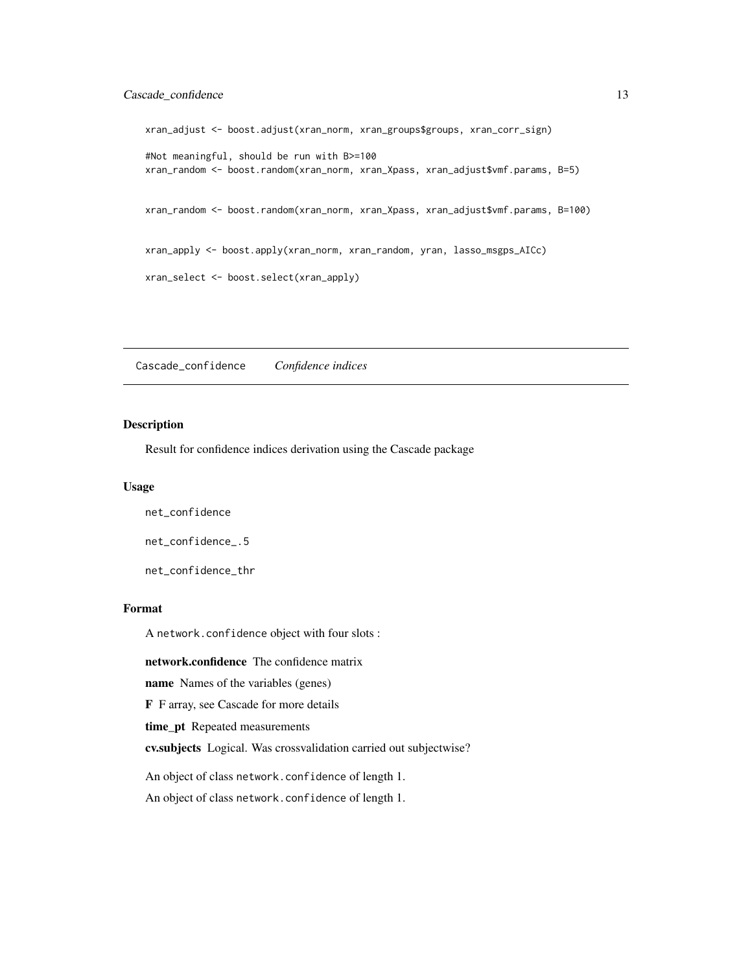## <span id="page-12-0"></span>Cascade\_confidence 13

```
xran_adjust <- boost.adjust(xran_norm, xran_groups$groups, xran_corr_sign)
#Not meaningful, should be run with B>=100
xran_random <- boost.random(xran_norm, xran_Xpass, xran_adjust$vmf.params, B=5)
xran_random <- boost.random(xran_norm, xran_Xpass, xran_adjust$vmf.params, B=100)
xran_apply <- boost.apply(xran_norm, xran_random, yran, lasso_msgps_AICc)
xran_select <- boost.select(xran_apply)
```
Cascade\_confidence *Confidence indices*

## Description

Result for confidence indices derivation using the Cascade package

#### Usage

net\_confidence

net\_confidence\_.5

net\_confidence\_thr

#### Format

A network.confidence object with four slots :

network.confidence The confidence matrix

name Names of the variables (genes)

F F array, see Cascade for more details

time\_pt Repeated measurements

cv.subjects Logical. Was crossvalidation carried out subjectwise?

An object of class network.confidence of length 1.

An object of class network.confidence of length 1.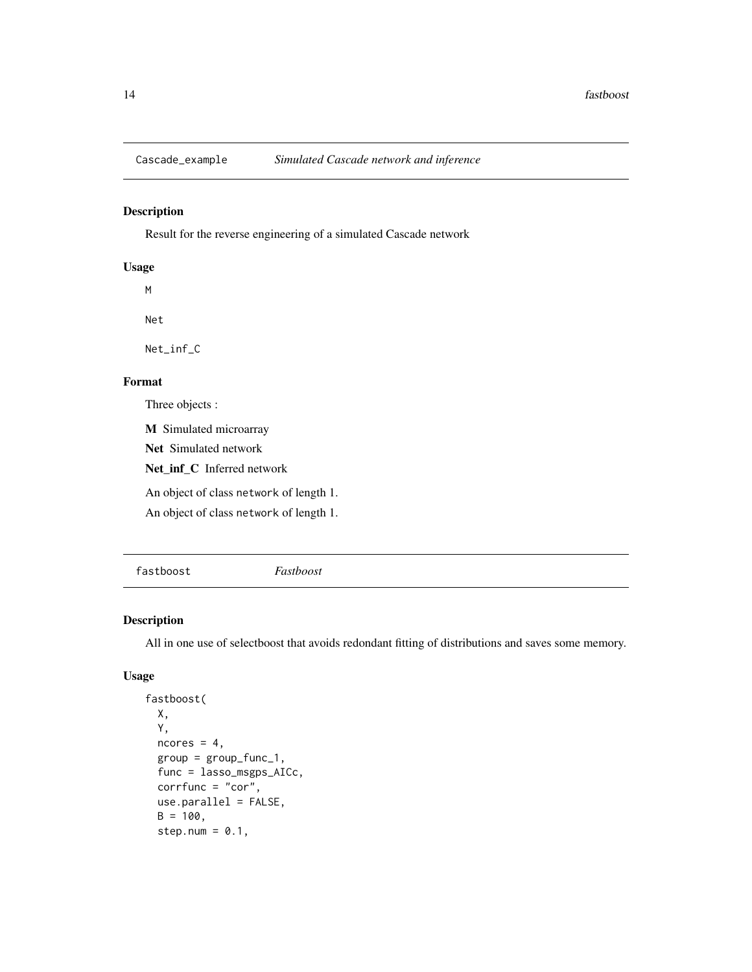<span id="page-13-0"></span>

## Description

Result for the reverse engineering of a simulated Cascade network

## Usage

M

Net

Net\_inf\_C

## Format

Three objects :

M Simulated microarray

Net Simulated network

Net\_inf\_C Inferred network

An object of class network of length 1.

An object of class network of length 1.

<span id="page-13-1"></span>fastboost *Fastboost*

## Description

All in one use of selectboost that avoids redondant fitting of distributions and saves some memory.

## Usage

```
fastboost(
 X,
  Y,
 ncores = 4,
  group = group_func_1,
  func = lasso_msgps_AICc,
  corrfunc = "cor",
  use.parallel = FALSE,
 B = 100,step.num = 0.1,
```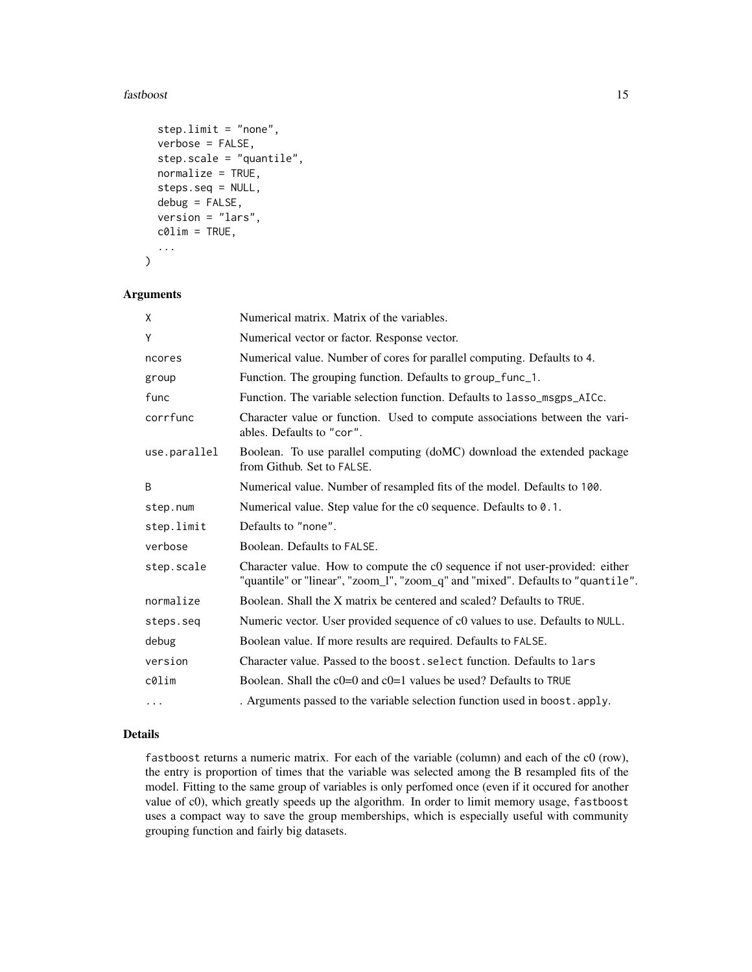#### fastboost 15

```
step.limit = "none",
 verbose = FALSE,
  step.scale = "quantile",
 normalize = TRUE,
  steps.seq = NULL,
  debug = FALSE,
  version = "lars",
  c0lim = TRUE,...
\mathcal{L}
```
## Arguments

| X            | Numerical matrix. Matrix of the variables.                                                                                                                      |
|--------------|-----------------------------------------------------------------------------------------------------------------------------------------------------------------|
| Υ            | Numerical vector or factor. Response vector.                                                                                                                    |
| ncores       | Numerical value. Number of cores for parallel computing. Defaults to 4.                                                                                         |
| group        | Function. The grouping function. Defaults to group_func_1.                                                                                                      |
| func         | Function. The variable selection function. Defaults to lasso_msgps_AICc.                                                                                        |
| corrfunc     | Character value or function. Used to compute associations between the vari-<br>ables. Defaults to "cor".                                                        |
| use.parallel | Boolean. To use parallel computing (doMC) download the extended package<br>from Github. Set to FALSE.                                                           |
| B            | Numerical value. Number of resampled fits of the model. Defaults to 100.                                                                                        |
| step.num     | Numerical value. Step value for the c0 sequence. Defaults to 0.1.                                                                                               |
| step.limit   | Defaults to "none".                                                                                                                                             |
| verbose      | Boolean. Defaults to FALSE.                                                                                                                                     |
| step.scale   | Character value. How to compute the c0 sequence if not user-provided: either<br>"quantile" or "linear", "zoom_l", "zoom_q" and "mixed". Defaults to "quantile". |
| normalize    | Boolean. Shall the X matrix be centered and scaled? Defaults to TRUE.                                                                                           |
| steps.seq    | Numeric vector. User provided sequence of c0 values to use. Defaults to NULL.                                                                                   |
| debug        | Boolean value. If more results are required. Defaults to FALSE.                                                                                                 |
| version      | Character value. Passed to the boost, select function. Defaults to lars                                                                                         |
| c0lim        | Boolean. Shall the $c0=0$ and $c0=1$ values be used? Defaults to TRUE                                                                                           |
| .            | . Arguments passed to the variable selection function used in boost. apply.                                                                                     |

## Details

fastboost returns a numeric matrix. For each of the variable (column) and each of the c0 (row), the entry is proportion of times that the variable was selected among the B resampled fits of the model. Fitting to the same group of variables is only perfomed once (even if it occured for another value of c0), which greatly speeds up the algorithm. In order to limit memory usage, fastboost uses a compact way to save the group memberships, which is especially useful with community grouping function and fairly big datasets.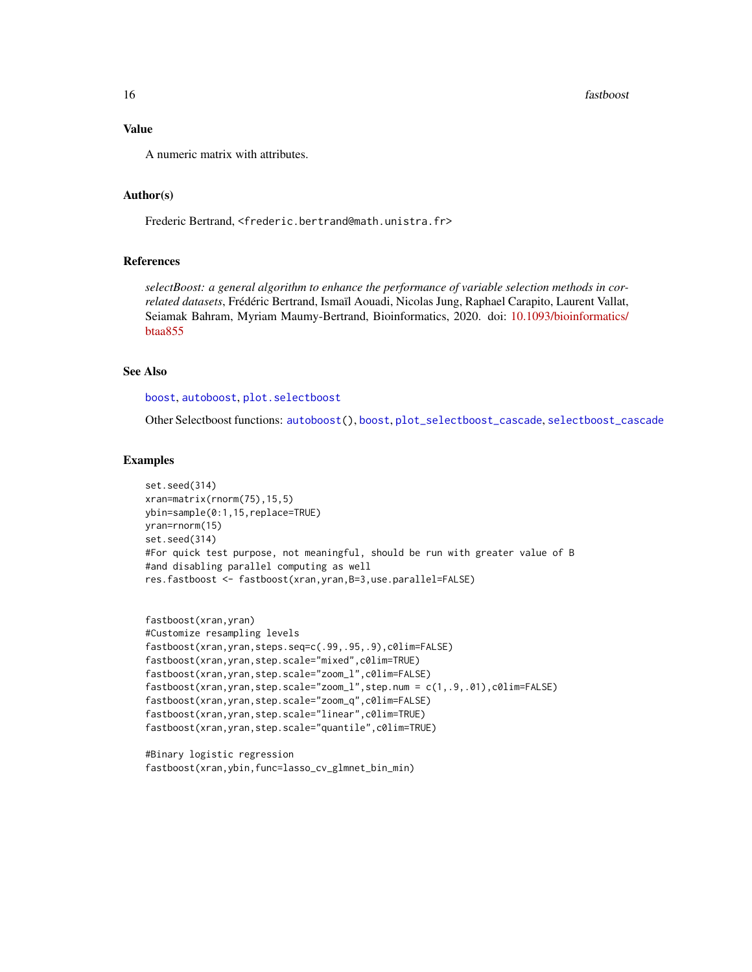## <span id="page-15-0"></span>Value

A numeric matrix with attributes.

## Author(s)

Frederic Bertrand, <frederic.bertrand@math.unistra.fr>

#### References

*selectBoost: a general algorithm to enhance the performance of variable selection methods in correlated datasets*, Frédéric Bertrand, Ismaïl Aouadi, Nicolas Jung, Raphael Carapito, Laurent Vallat, Seiamak Bahram, Myriam Maumy-Bertrand, Bioinformatics, 2020. doi: [10.1093/bioinformatics/](https://doi.org/10.1093/bioinformatics/btaa855) [btaa855](https://doi.org/10.1093/bioinformatics/btaa855)

## See Also

[boost](#page-9-1), [autoboost](#page-5-1), [plot.selectboost](#page-21-1)

Other Selectboost functions: [autoboost\(](#page-5-1)), [boost](#page-9-1), [plot\\_selectboost\\_cascade](#page-24-1), [selectboost\\_cascade](#page-32-1)

#### Examples

```
set.seed(314)
xran=matrix(rnorm(75),15,5)
ybin=sample(0:1,15,replace=TRUE)
yran=rnorm(15)
set.seed(314)
#For quick test purpose, not meaningful, should be run with greater value of B
#and disabling parallel computing as well
res.fastboost <- fastboost(xran,yran,B=3,use.parallel=FALSE)
```

```
fastboost(xran,yran)
#Customize resampling levels
fastboost(xran,yran,steps.seq=c(.99,.95,.9),c0lim=FALSE)
fastboost(xran,yran,step.scale="mixed",c0lim=TRUE)
fastboost(xran,yran,step.scale="zoom_l",c0lim=FALSE)
fastboost(xran,yran,step.scale="zoom_l",step.num = c(1,.9,.01),c0lim=FALSE)
fastboost(xran,yran,step.scale="zoom_q",c0lim=FALSE)
fastboost(xran,yran,step.scale="linear",c0lim=TRUE)
fastboost(xran,yran,step.scale="quantile",c0lim=TRUE)
```
#Binary logistic regression fastboost(xran,ybin,func=lasso\_cv\_glmnet\_bin\_min)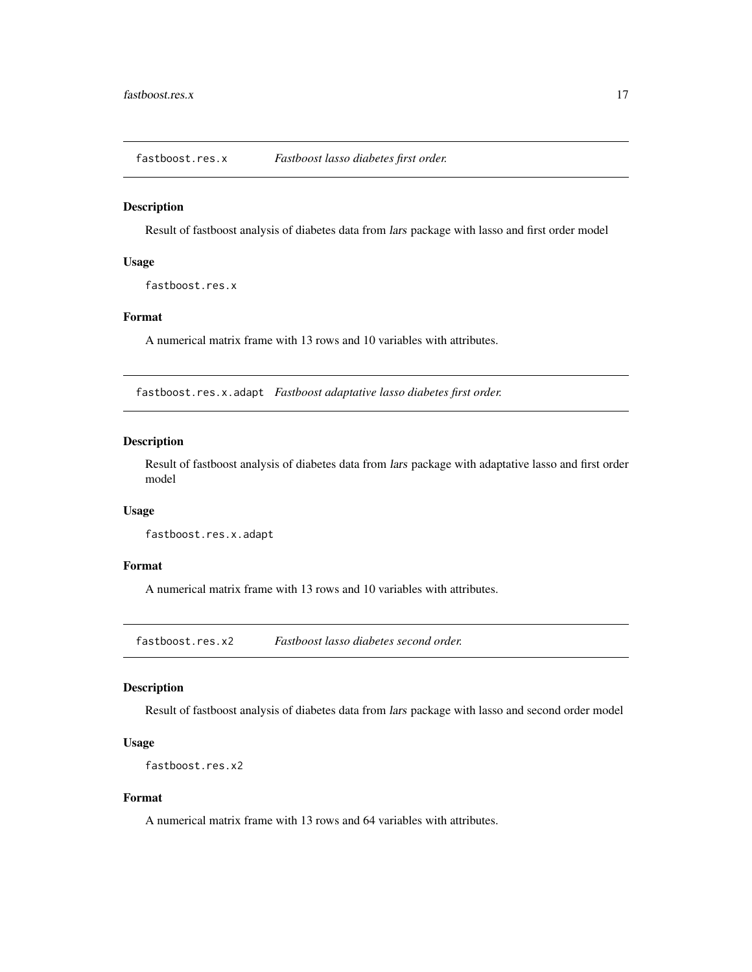<span id="page-16-0"></span>fastboost.res.x *Fastboost lasso diabetes first order.*

#### Description

Result of fastboost analysis of diabetes data from lars package with lasso and first order model

## Usage

fastboost.res.x

## Format

A numerical matrix frame with 13 rows and 10 variables with attributes.

fastboost.res.x.adapt *Fastboost adaptative lasso diabetes first order.*

## Description

Result of fastboost analysis of diabetes data from lars package with adaptative lasso and first order model

## Usage

fastboost.res.x.adapt

## Format

A numerical matrix frame with 13 rows and 10 variables with attributes.

fastboost.res.x2 *Fastboost lasso diabetes second order.*

## Description

Result of fastboost analysis of diabetes data from lars package with lasso and second order model

## Usage

```
fastboost.res.x2
```
## Format

A numerical matrix frame with 13 rows and 64 variables with attributes.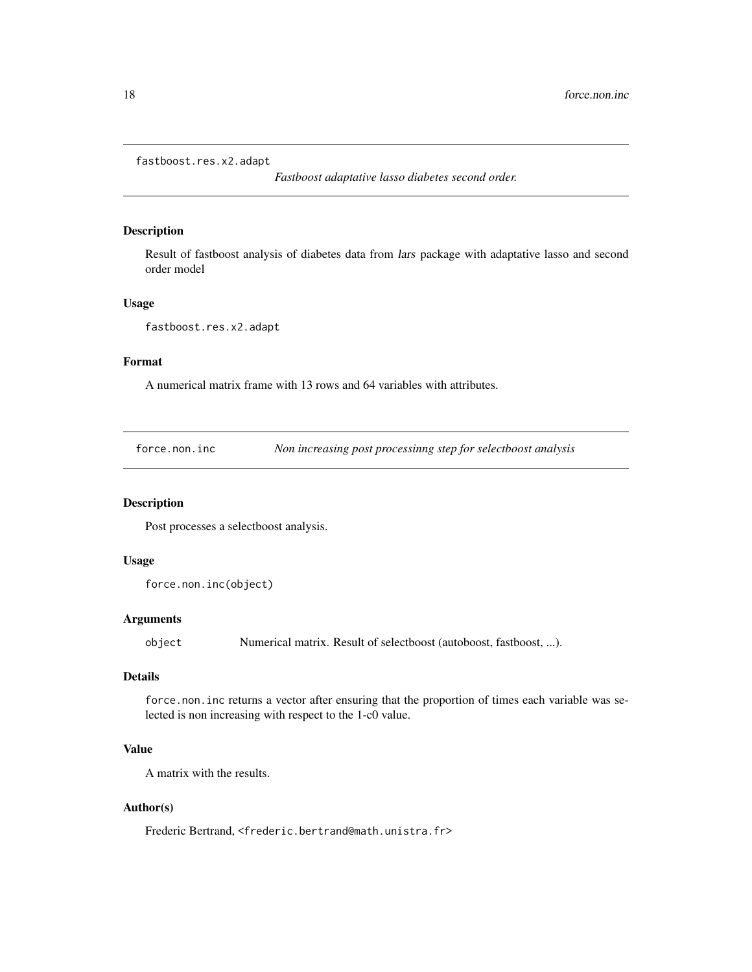```
fastboost.res.x2.adapt
```
*Fastboost adaptative lasso diabetes second order.*

## Description

Result of fastboost analysis of diabetes data from lars package with adaptative lasso and second order model

#### Usage

fastboost.res.x2.adapt

## Format

A numerical matrix frame with 13 rows and 64 variables with attributes.

<span id="page-17-1"></span>force.non.inc *Non increasing post processinng step for selectboost analysis*

## Description

Post processes a selectboost analysis.

## Usage

```
force.non.inc(object)
```
#### Arguments

object Numerical matrix. Result of selectboost (autoboost, fastboost, ...).

## Details

force.non.inc returns a vector after ensuring that the proportion of times each variable was selected is non increasing with respect to the 1-c0 value.

## Value

A matrix with the results.

## Author(s)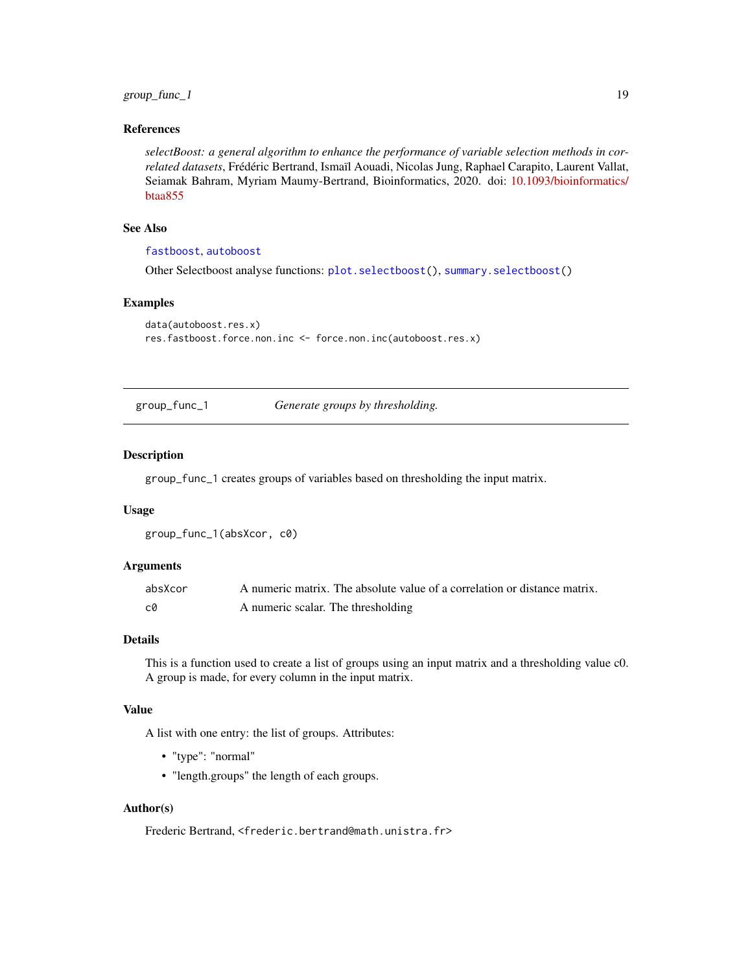<span id="page-18-0"></span>group\_func\_1 19

## References

*selectBoost: a general algorithm to enhance the performance of variable selection methods in correlated datasets*, Frédéric Bertrand, Ismaïl Aouadi, Nicolas Jung, Raphael Carapito, Laurent Vallat, Seiamak Bahram, Myriam Maumy-Bertrand, Bioinformatics, 2020. doi: [10.1093/bioinformatics/](https://doi.org/10.1093/bioinformatics/btaa855) [btaa855](https://doi.org/10.1093/bioinformatics/btaa855)

## See Also

## [fastboost](#page-13-1), [autoboost](#page-5-1)

Other Selectboost analyse functions: [plot.selectboost\(](#page-21-1)), [summary.selectboost\(](#page-36-1))

## Examples

```
data(autoboost.res.x)
res.fastboost.force.non.inc <- force.non.inc(autoboost.res.x)
```
group\_func\_1 *Generate groups by thresholding.*

#### Description

group\_func\_1 creates groups of variables based on thresholding the input matrix.

#### Usage

```
group_func_1(absXcor, c0)
```
## Arguments

| absXcor | A numeric matrix. The absolute value of a correlation or distance matrix. |
|---------|---------------------------------------------------------------------------|
| C0      | A numeric scalar. The thresholding                                        |

#### Details

This is a function used to create a list of groups using an input matrix and a thresholding value c0. A group is made, for every column in the input matrix.

#### Value

A list with one entry: the list of groups. Attributes:

- "type": "normal"
- "length.groups" the length of each groups.

## Author(s)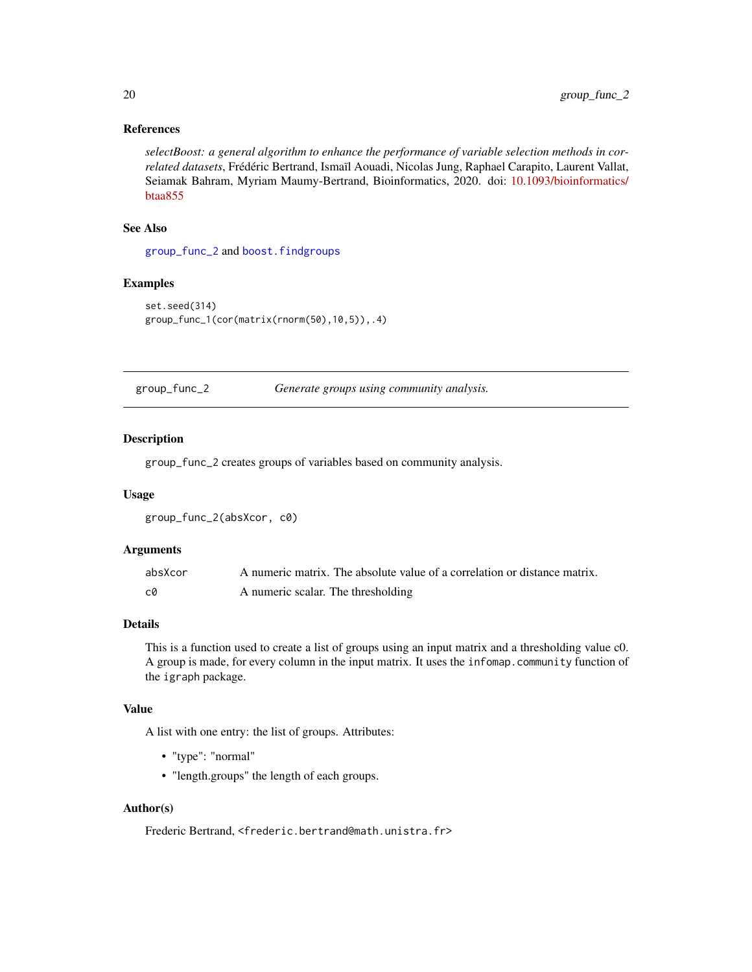## <span id="page-19-0"></span>References

*selectBoost: a general algorithm to enhance the performance of variable selection methods in correlated datasets*, Frédéric Bertrand, Ismaïl Aouadi, Nicolas Jung, Raphael Carapito, Laurent Vallat, Seiamak Bahram, Myriam Maumy-Bertrand, Bioinformatics, 2020. doi: [10.1093/bioinformatics/](https://doi.org/10.1093/bioinformatics/btaa855) [btaa855](https://doi.org/10.1093/bioinformatics/btaa855)

## See Also

[group\\_func\\_2](#page-19-1) and [boost.findgroups](#page-9-2)

## Examples

```
set.seed(314)
group_func_1(cor(matrix(rnorm(50),10,5)),.4)
```
<span id="page-19-1"></span>group\_func\_2 *Generate groups using community analysis.*

#### Description

group\_func\_2 creates groups of variables based on community analysis.

#### Usage

```
group_func_2(absXcor, c0)
```
#### Arguments

| absXcor | A numeric matrix. The absolute value of a correlation or distance matrix. |
|---------|---------------------------------------------------------------------------|
| c0      | A numeric scalar. The thresholding                                        |

#### Details

This is a function used to create a list of groups using an input matrix and a thresholding value c0. A group is made, for every column in the input matrix. It uses the infomap.community function of the igraph package.

## Value

A list with one entry: the list of groups. Attributes:

- "type": "normal"
- "length.groups" the length of each groups.

## Author(s)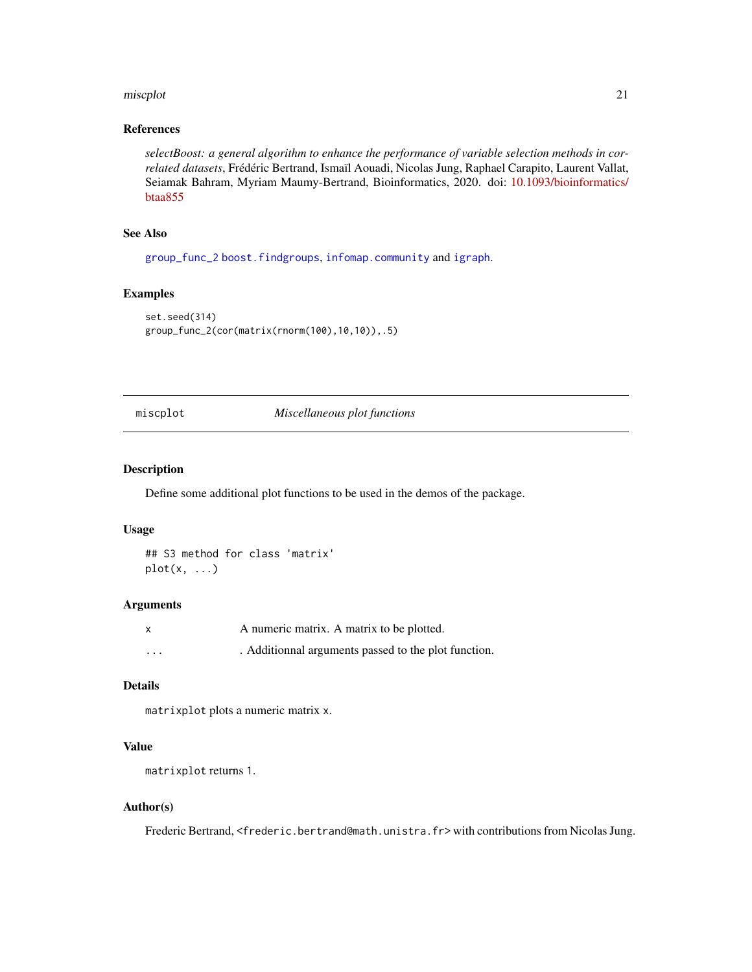#### <span id="page-20-0"></span>miscplot 21

## References

*selectBoost: a general algorithm to enhance the performance of variable selection methods in correlated datasets*, Frédéric Bertrand, Ismaïl Aouadi, Nicolas Jung, Raphael Carapito, Laurent Vallat, Seiamak Bahram, Myriam Maumy-Bertrand, Bioinformatics, 2020. doi: [10.1093/bioinformatics/](https://doi.org/10.1093/bioinformatics/btaa855) [btaa855](https://doi.org/10.1093/bioinformatics/btaa855)

## See Also

[group\\_func\\_2](#page-19-1) [boost.findgroups](#page-9-2), [infomap.community](#page-0-0) and [igraph](#page-0-0).

## Examples

```
set.seed(314)
group_func_2(cor(matrix(rnorm(100),10,10)),.5)
```
#### miscplot *Miscellaneous plot functions*

#### Description

Define some additional plot functions to be used in the demos of the package.

### Usage

## S3 method for class 'matrix'  $plot(x, \ldots)$ 

#### Arguments

|          | A numeric matrix. A matrix to be plotted.            |
|----------|------------------------------------------------------|
| $\cdots$ | . Additionnal arguments passed to the plot function. |

#### Details

matrixplot plots a numeric matrix x.

## Value

matrixplot returns 1.

#### Author(s)

Frederic Bertrand, <frederic.bertrand@math.unistra.fr> with contributions from Nicolas Jung.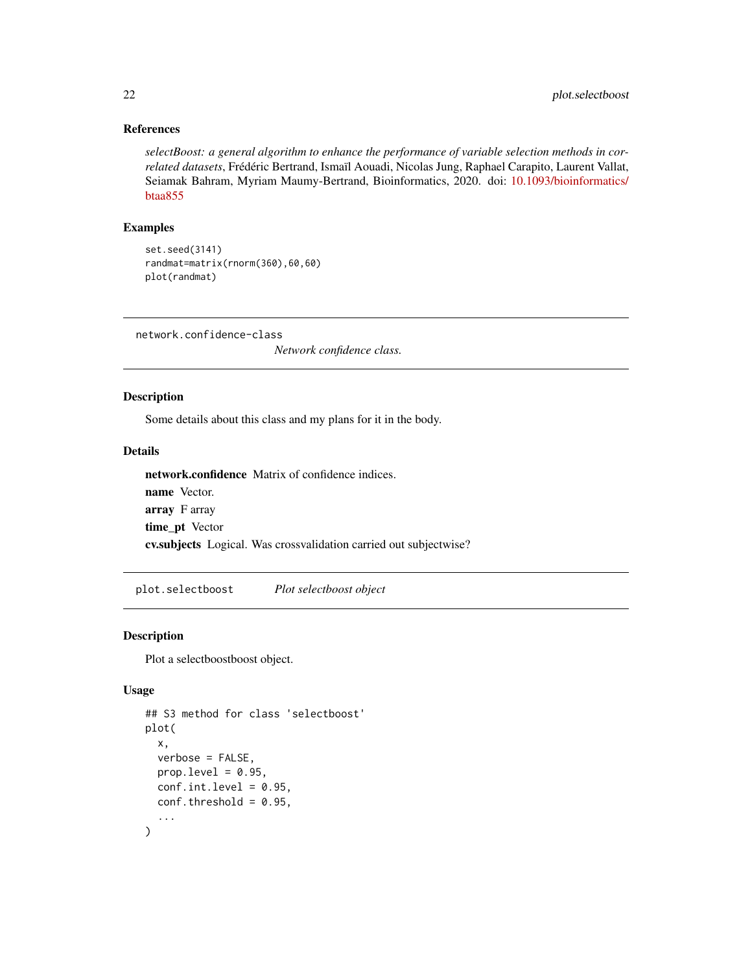#### References

*selectBoost: a general algorithm to enhance the performance of variable selection methods in correlated datasets*, Frédéric Bertrand, Ismaïl Aouadi, Nicolas Jung, Raphael Carapito, Laurent Vallat, Seiamak Bahram, Myriam Maumy-Bertrand, Bioinformatics, 2020. doi: [10.1093/bioinformatics/](https://doi.org/10.1093/bioinformatics/btaa855) [btaa855](https://doi.org/10.1093/bioinformatics/btaa855)

#### Examples

set.seed(3141) randmat=matrix(rnorm(360),60,60) plot(randmat)

network.confidence-class

*Network confidence class.*

## Description

Some details about this class and my plans for it in the body.

## Details

network.confidence Matrix of confidence indices. name Vector. array F array time\_pt Vector cv.subjects Logical. Was crossvalidation carried out subjectwise?

<span id="page-21-1"></span>plot.selectboost *Plot selectboost object*

## Description

Plot a selectboostboost object.

#### Usage

```
## S3 method for class 'selectboost'
plot(
  x,
  verbose = FALSE,
 prop. level = 0.95,
  conf.int.level = 0.95,
  conf.threshold = 0.95,
  ...
)
```
<span id="page-21-0"></span>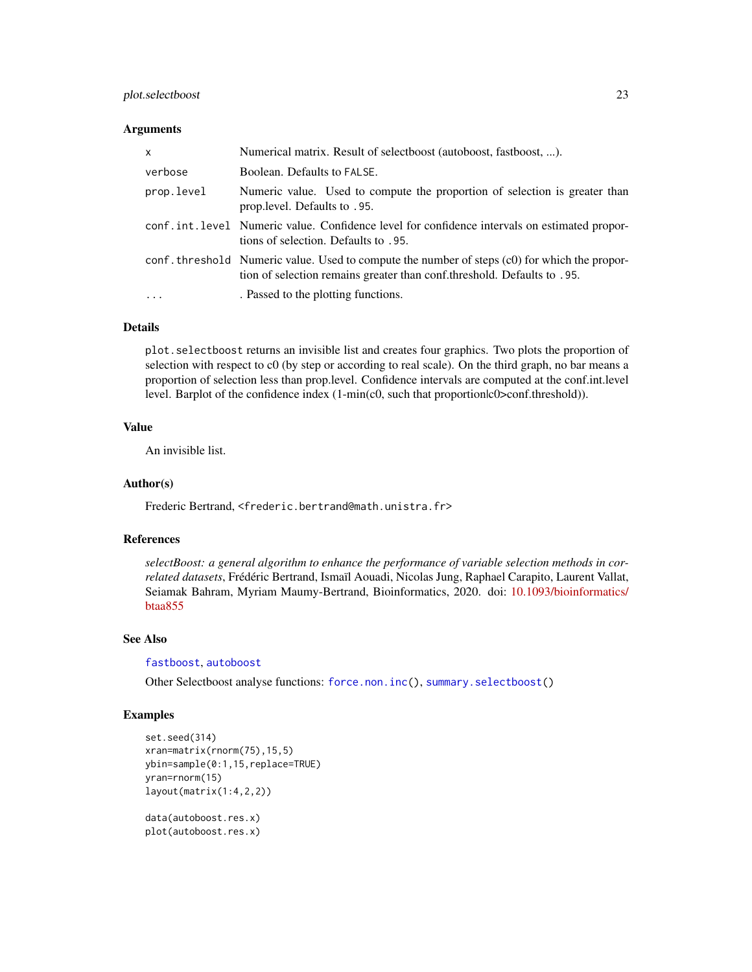## <span id="page-22-0"></span>plot.selectboost 23

#### Arguments

| $\mathsf{x}$ | Numerical matrix. Result of selectboost (autoboost, fastboost, ).                                                                                                         |  |
|--------------|---------------------------------------------------------------------------------------------------------------------------------------------------------------------------|--|
| verbose      | Boolean. Defaults to FALSE.                                                                                                                                               |  |
| prop.level   | Numeric value. Used to compute the proportion of selection is greater than<br>prop. level. Defaults to .95.                                                               |  |
|              | conf.int.level Numeric value. Confidence level for confidence intervals on estimated propor-<br>tions of selection. Defaults to .95.                                      |  |
|              | conf. threshold Numeric value. Used to compute the number of steps (c0) for which the propor-<br>tion of selection remains greater than conf. threshold. Defaults to .95. |  |
| $\cdots$     | . Passed to the plotting functions.                                                                                                                                       |  |

#### Details

plot.selectboost returns an invisible list and creates four graphics. Two plots the proportion of selection with respect to c0 (by step or according to real scale). On the third graph, no bar means a proportion of selection less than prop.level. Confidence intervals are computed at the conf.int.level level. Barplot of the confidence index  $(1-min(c0, such that proportion|c0>conf.threshold)).$ 

#### Value

An invisible list.

#### Author(s)

Frederic Bertrand, <frederic.bertrand@math.unistra.fr>

## References

*selectBoost: a general algorithm to enhance the performance of variable selection methods in correlated datasets*, Frédéric Bertrand, Ismaïl Aouadi, Nicolas Jung, Raphael Carapito, Laurent Vallat, Seiamak Bahram, Myriam Maumy-Bertrand, Bioinformatics, 2020. doi: [10.1093/bioinformatics/](https://doi.org/10.1093/bioinformatics/btaa855) [btaa855](https://doi.org/10.1093/bioinformatics/btaa855)

#### See Also

[fastboost](#page-13-1), [autoboost](#page-5-1)

Other Selectboost analyse functions: [force.non.inc\(](#page-17-1)), [summary.selectboost\(](#page-36-1))

## Examples

```
set.seed(314)
xran=matrix(rnorm(75),15,5)
ybin=sample(0:1,15,replace=TRUE)
yran=rnorm(15)
layout(matrix(1:4,2,2))
data(autoboost.res.x)
```
plot(autoboost.res.x)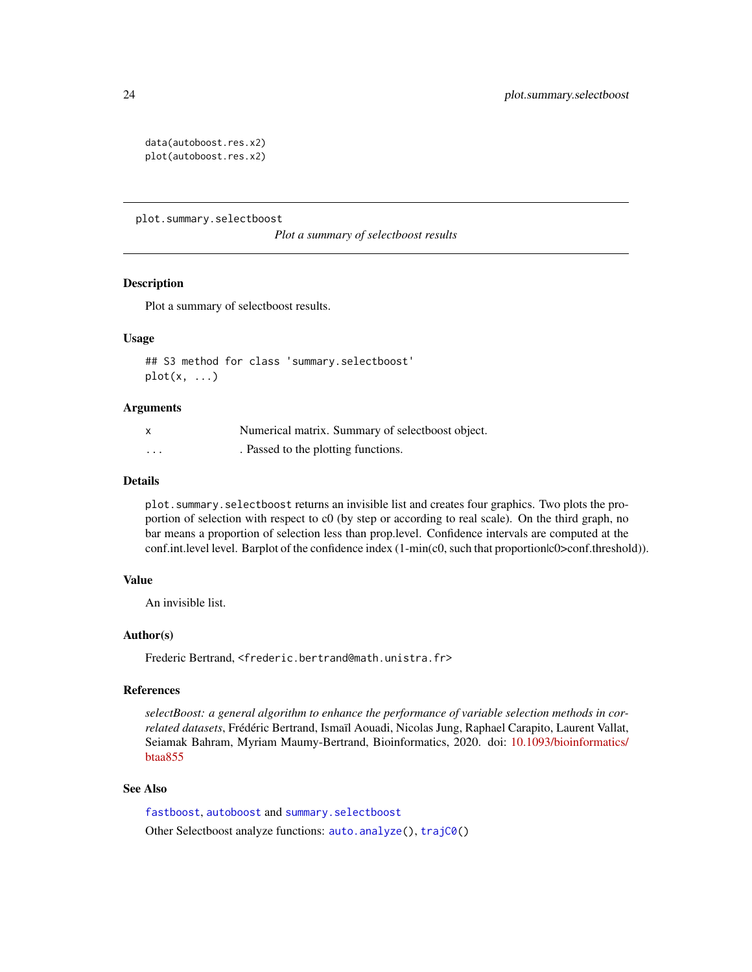```
data(autoboost.res.x2)
plot(autoboost.res.x2)
```
<span id="page-23-1"></span>plot.summary.selectboost

*Plot a summary of selectboost results*

## **Description**

Plot a summary of selectboost results.

#### Usage

## S3 method for class 'summary.selectboost'  $plot(x, \ldots)$ 

#### **Arguments**

|         | Numerical matrix. Summary of selectboost object. |
|---------|--------------------------------------------------|
| $\cdot$ | . Passed to the plotting functions.              |

## Details

plot.summary.selectboost returns an invisible list and creates four graphics. Two plots the proportion of selection with respect to c0 (by step or according to real scale). On the third graph, no bar means a proportion of selection less than prop.level. Confidence intervals are computed at the conf.int.level level. Barplot of the confidence index (1-min(c0, such that proportionlc0>conf.threshold)).

## Value

An invisible list.

#### Author(s)

Frederic Bertrand, <frederic.bertrand@math.unistra.fr>

#### References

*selectBoost: a general algorithm to enhance the performance of variable selection methods in correlated datasets*, Frédéric Bertrand, Ismaïl Aouadi, Nicolas Jung, Raphael Carapito, Laurent Vallat, Seiamak Bahram, Myriam Maumy-Bertrand, Bioinformatics, 2020. doi: [10.1093/bioinformatics/](https://doi.org/10.1093/bioinformatics/btaa855) [btaa855](https://doi.org/10.1093/bioinformatics/btaa855)

## See Also

[fastboost](#page-13-1), [autoboost](#page-5-1) and [summary.selectboost](#page-36-1) Other Selectboost analyze functions: [auto.analyze\(](#page-3-1)), [trajC0\(](#page-38-1))

<span id="page-23-0"></span>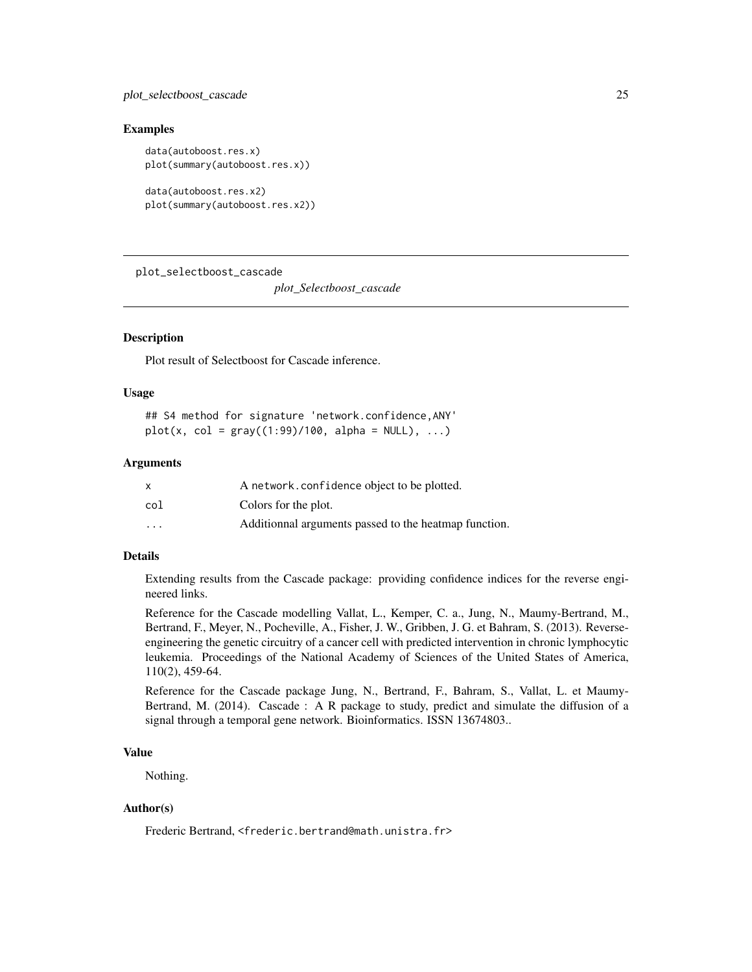#### <span id="page-24-0"></span>Examples

```
data(autoboost.res.x)
plot(summary(autoboost.res.x))
data(autoboost.res.x2)
```

```
plot(summary(autoboost.res.x2))
```
<span id="page-24-1"></span>plot\_selectboost\_cascade

*plot\_Selectboost\_cascade*

## **Description**

Plot result of Selectboost for Cascade inference.

#### Usage

## S4 method for signature 'network.confidence,ANY'  $plot(x, col = gray((1:99)/100, alpha = NULL), ...)$ 

#### Arguments

|                         | A network.confidence object to be plotted.            |
|-------------------------|-------------------------------------------------------|
| col                     | Colors for the plot.                                  |
| $\cdot$ $\cdot$ $\cdot$ | Additionnal arguments passed to the heatmap function. |

## Details

Extending results from the Cascade package: providing confidence indices for the reverse engineered links.

Reference for the Cascade modelling Vallat, L., Kemper, C. a., Jung, N., Maumy-Bertrand, M., Bertrand, F., Meyer, N., Pocheville, A., Fisher, J. W., Gribben, J. G. et Bahram, S. (2013). Reverseengineering the genetic circuitry of a cancer cell with predicted intervention in chronic lymphocytic leukemia. Proceedings of the National Academy of Sciences of the United States of America, 110(2), 459-64.

Reference for the Cascade package Jung, N., Bertrand, F., Bahram, S., Vallat, L. et Maumy-Bertrand, M. (2014). Cascade : A R package to study, predict and simulate the diffusion of a signal through a temporal gene network. Bioinformatics. ISSN 13674803..

## Value

Nothing.

## Author(s)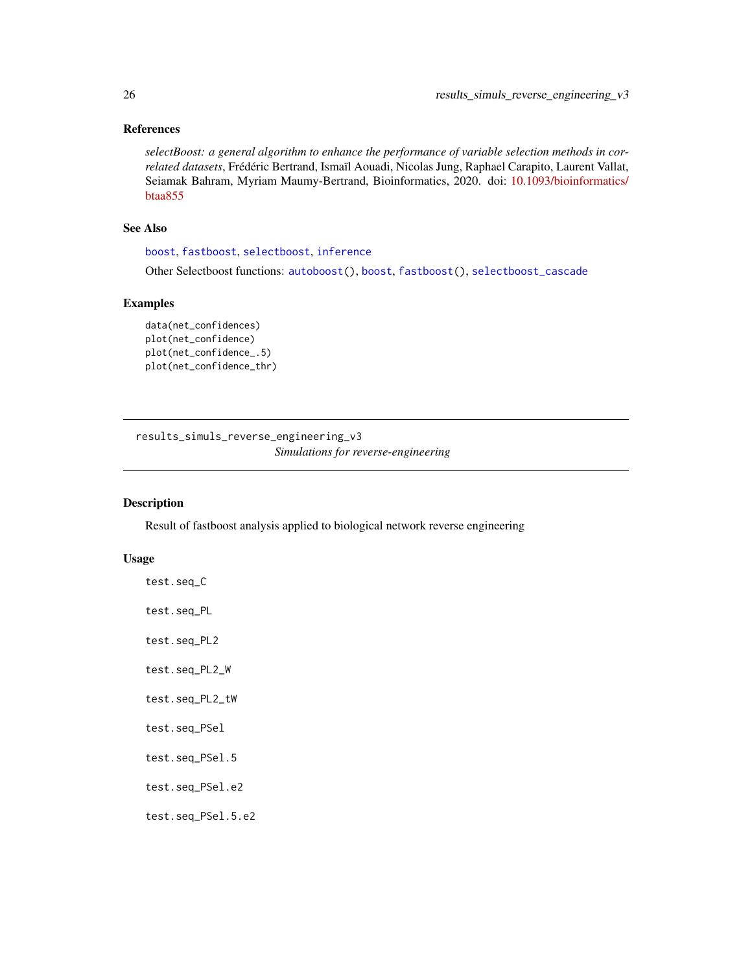## <span id="page-25-0"></span>References

*selectBoost: a general algorithm to enhance the performance of variable selection methods in correlated datasets*, Frédéric Bertrand, Ismaïl Aouadi, Nicolas Jung, Raphael Carapito, Laurent Vallat, Seiamak Bahram, Myriam Maumy-Bertrand, Bioinformatics, 2020. doi: [10.1093/bioinformatics/](https://doi.org/10.1093/bioinformatics/btaa855) [btaa855](https://doi.org/10.1093/bioinformatics/btaa855)

## See Also

[boost](#page-9-1), [fastboost](#page-13-1), [selectboost](#page-32-2), [inference](#page-0-0)

Other Selectboost functions: [autoboost\(](#page-5-1)), [boost](#page-9-1), [fastboost\(](#page-13-1)), [selectboost\\_cascade](#page-32-1)

## Examples

```
data(net_confidences)
plot(net_confidence)
plot(net_confidence_.5)
plot(net_confidence_thr)
```
results\_simuls\_reverse\_engineering\_v3 *Simulations for reverse-engineering*

## Description

Result of fastboost analysis applied to biological network reverse engineering

#### Usage

| test.seq_C         |
|--------------------|
| test.seq_PL        |
| test.seq_PL2       |
| test.seq_PL2_W     |
| test.seq_PL2_tW    |
| test.seq_PSel      |
| test.seq_PSel.5    |
| test.seq_PSel.e2   |
| test.seq_PSel.5.e2 |
|                    |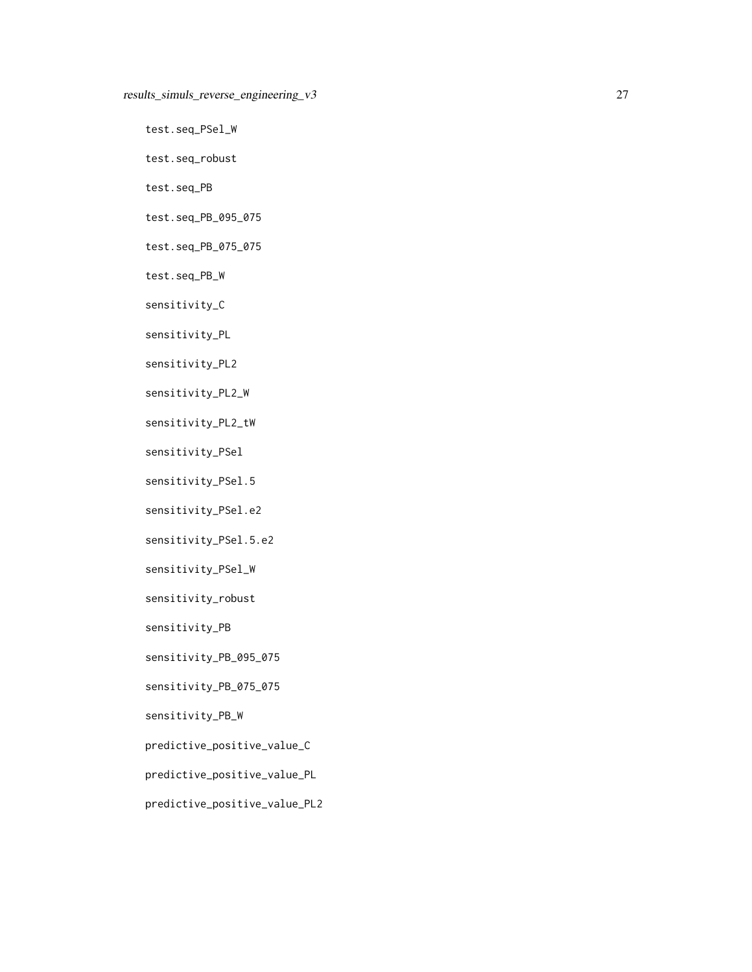test.seq\_PSel\_W

test.seq\_robust

test.seq\_PB

test.seq\_PB\_095\_075

test.seq\_PB\_075\_075

test.seq\_PB\_W

sensitivity\_C

sensitivity\_PL

sensitivity\_PL2

sensitivity\_PL2\_W

sensitivity\_PL2\_tW

sensitivity\_PSel

sensitivity\_PSel.5

sensitivity\_PSel.e2

sensitivity\_PSel.5.e2

sensitivity\_PSel\_W

sensitivity\_robust

sensitivity\_PB

sensitivity\_PB\_095\_075

sensitivity\_PB\_075\_075

sensitivity\_PB\_W

predictive\_positive\_value\_C

predictive\_positive\_value\_PL

predictive\_positive\_value\_PL2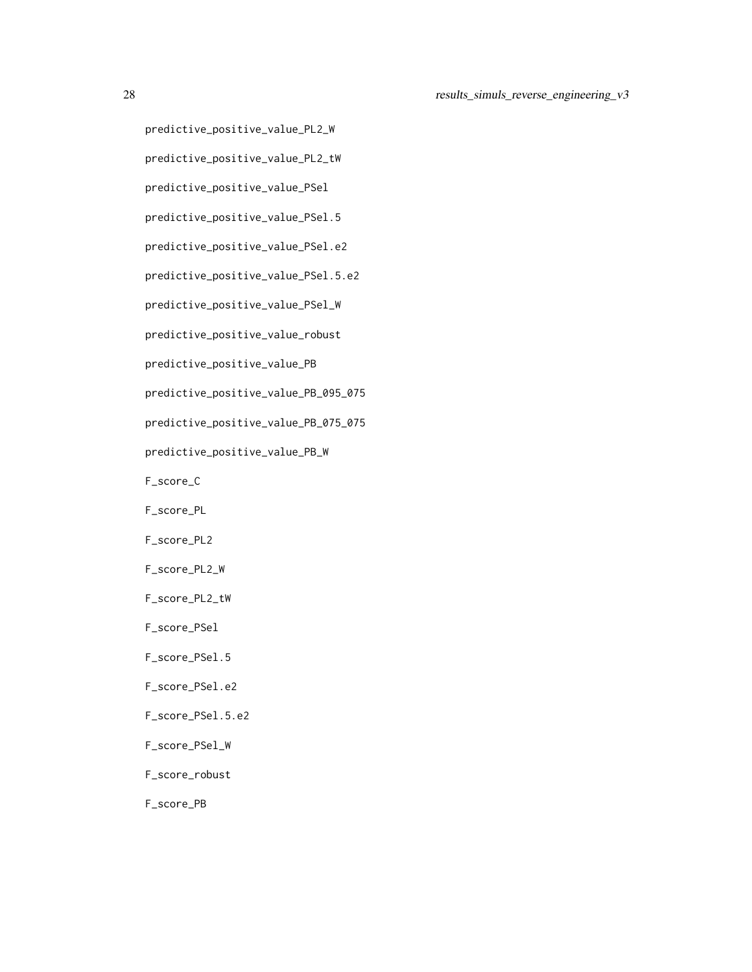```
predictive_positive_value_PL2_W
predictive_positive_value_PL2_tW
predictive_positive_value_PSel
predictive_positive_value_PSel.5
predictive_positive_value_PSel.e2
predictive_positive_value_PSel.5.e2
predictive_positive_value_PSel_W
predictive_positive_value_robust
predictive_positive_value_PB
predictive_positive_value_PB_095_075
predictive_positive_value_PB_075_075
predictive_positive_value_PB_W
F_score_C
F_score_PL
F_score_PL2
F_score_PL2_W
F_score_PL2_tW
F_score_PSel
F_score_PSel.5
F_score_PSel.e2
F_score_PSel.5.e2
F_score_PSel_W
F_score_robust
F_score_PB
```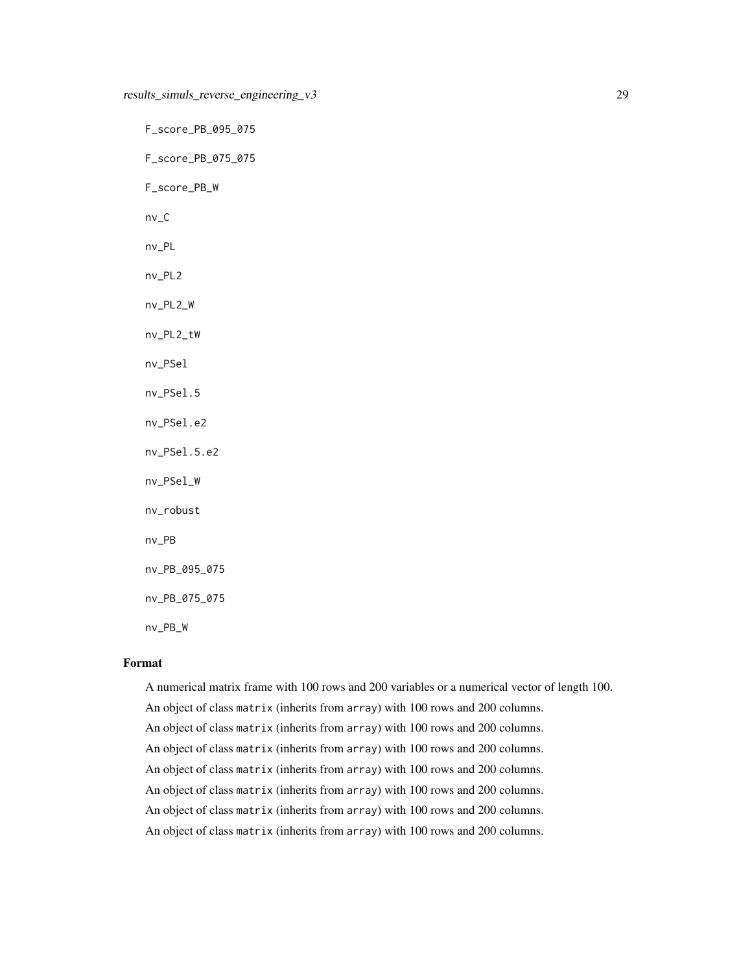F\_score\_PB\_095\_075 F\_score\_PB\_075\_075 F\_score\_PB\_W nv\_C nv\_PL nv\_PL2 nv\_PL2\_W nv\_PL2\_tW nv\_PSel nv\_PSel.5 nv\_PSel.e2 nv\_PSel.5.e2 nv\_PSel\_W nv\_robust nv\_PB nv\_PB\_095\_075 nv\_PB\_075\_075 nv\_PB\_W

#### Format

A numerical matrix frame with 100 rows and 200 variables or a numerical vector of length 100. An object of class matrix (inherits from array) with 100 rows and 200 columns. An object of class matrix (inherits from array) with 100 rows and 200 columns. An object of class matrix (inherits from array) with 100 rows and 200 columns. An object of class matrix (inherits from array) with 100 rows and 200 columns. An object of class matrix (inherits from array) with 100 rows and 200 columns. An object of class matrix (inherits from array) with 100 rows and 200 columns. An object of class matrix (inherits from array) with 100 rows and 200 columns.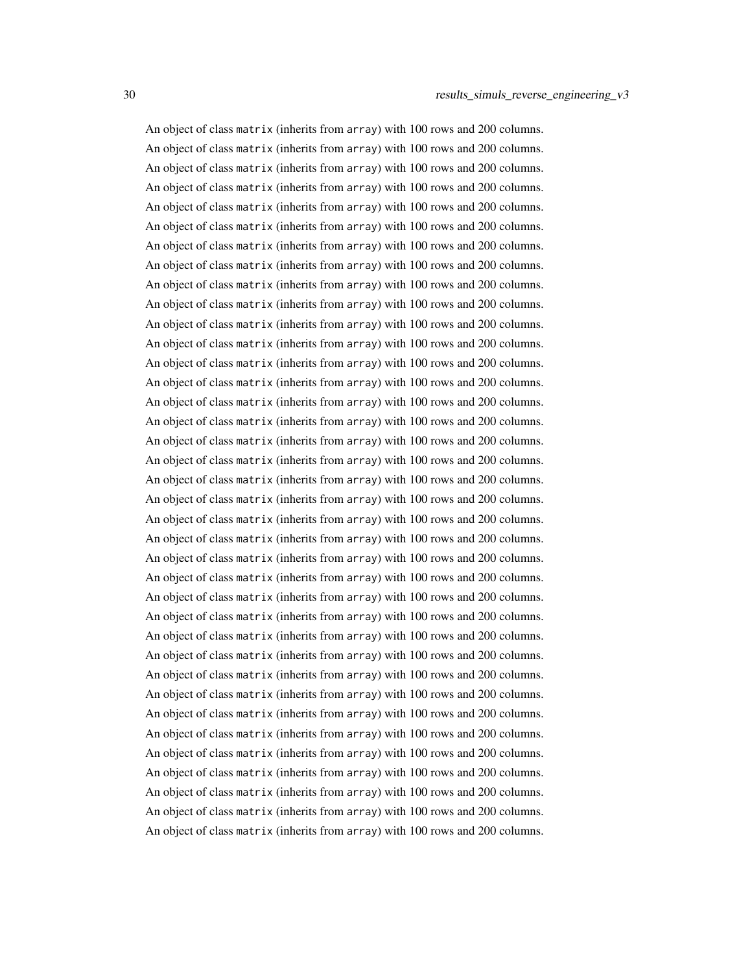An object of class matrix (inherits from array) with 100 rows and 200 columns. An object of class matrix (inherits from array) with 100 rows and 200 columns. An object of class matrix (inherits from array) with 100 rows and 200 columns. An object of class matrix (inherits from array) with 100 rows and 200 columns. An object of class matrix (inherits from array) with 100 rows and 200 columns. An object of class matrix (inherits from array) with 100 rows and 200 columns. An object of class matrix (inherits from array) with 100 rows and 200 columns. An object of class matrix (inherits from array) with 100 rows and 200 columns. An object of class matrix (inherits from array) with 100 rows and 200 columns. An object of class matrix (inherits from array) with 100 rows and 200 columns. An object of class matrix (inherits from array) with 100 rows and 200 columns. An object of class matrix (inherits from array) with 100 rows and 200 columns. An object of class matrix (inherits from array) with 100 rows and 200 columns. An object of class matrix (inherits from array) with 100 rows and 200 columns. An object of class matrix (inherits from array) with 100 rows and 200 columns. An object of class matrix (inherits from array) with 100 rows and 200 columns. An object of class matrix (inherits from array) with 100 rows and 200 columns. An object of class matrix (inherits from array) with 100 rows and 200 columns. An object of class matrix (inherits from array) with 100 rows and 200 columns. An object of class matrix (inherits from array) with 100 rows and 200 columns. An object of class matrix (inherits from array) with 100 rows and 200 columns. An object of class matrix (inherits from array) with 100 rows and 200 columns. An object of class matrix (inherits from array) with 100 rows and 200 columns. An object of class matrix (inherits from array) with 100 rows and 200 columns. An object of class matrix (inherits from array) with 100 rows and 200 columns. An object of class matrix (inherits from array) with 100 rows and 200 columns. An object of class matrix (inherits from array) with 100 rows and 200 columns. An object of class matrix (inherits from array) with 100 rows and 200 columns. An object of class matrix (inherits from array) with 100 rows and 200 columns. An object of class matrix (inherits from array) with 100 rows and 200 columns. An object of class matrix (inherits from array) with 100 rows and 200 columns. An object of class matrix (inherits from array) with 100 rows and 200 columns. An object of class matrix (inherits from array) with 100 rows and 200 columns. An object of class matrix (inherits from array) with 100 rows and 200 columns. An object of class matrix (inherits from array) with 100 rows and 200 columns. An object of class matrix (inherits from array) with 100 rows and 200 columns. An object of class matrix (inherits from array) with 100 rows and 200 columns.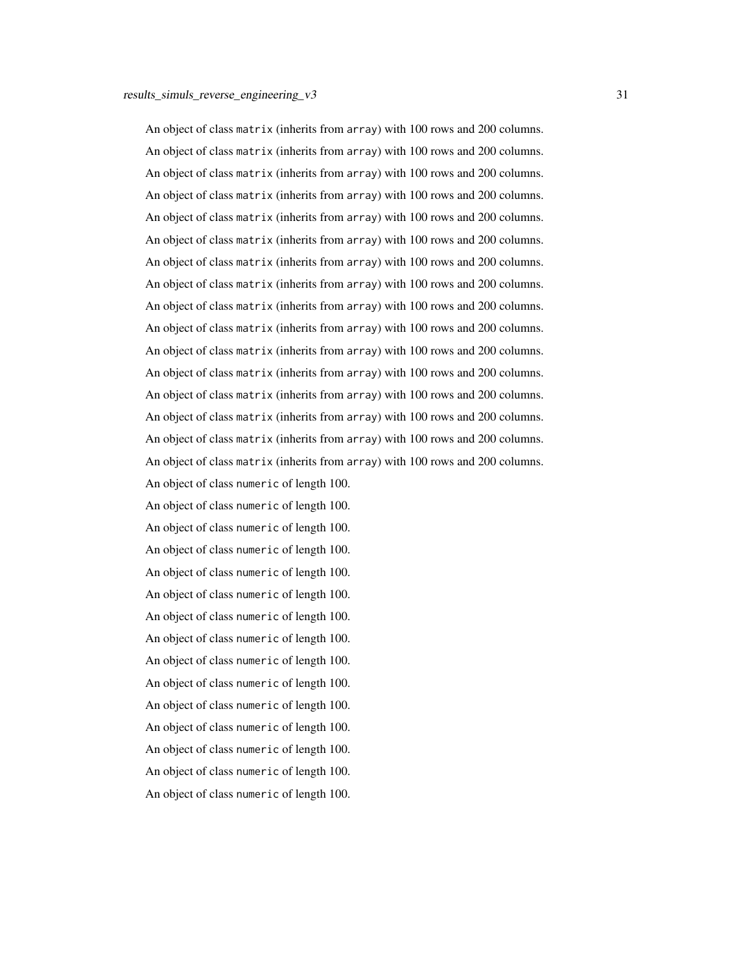An object of class matrix (inherits from array) with 100 rows and 200 columns. An object of class matrix (inherits from array) with 100 rows and 200 columns. An object of class matrix (inherits from array) with 100 rows and 200 columns. An object of class matrix (inherits from array) with 100 rows and 200 columns. An object of class matrix (inherits from array) with 100 rows and 200 columns. An object of class matrix (inherits from array) with 100 rows and 200 columns. An object of class matrix (inherits from array) with 100 rows and 200 columns. An object of class matrix (inherits from array) with 100 rows and 200 columns. An object of class matrix (inherits from array) with 100 rows and 200 columns. An object of class matrix (inherits from array) with 100 rows and 200 columns. An object of class matrix (inherits from array) with 100 rows and 200 columns. An object of class matrix (inherits from array) with 100 rows and 200 columns. An object of class matrix (inherits from array) with 100 rows and 200 columns. An object of class matrix (inherits from array) with 100 rows and 200 columns. An object of class matrix (inherits from array) with 100 rows and 200 columns. An object of class matrix (inherits from array) with 100 rows and 200 columns.

An object of class numeric of length 100. An object of class numeric of length 100. An object of class numeric of length 100. An object of class numeric of length 100. An object of class numeric of length 100. An object of class numeric of length 100. An object of class numeric of length 100. An object of class numeric of length 100. An object of class numeric of length 100. An object of class numeric of length 100. An object of class numeric of length 100. An object of class numeric of length 100. An object of class numeric of length 100. An object of class numeric of length 100. An object of class numeric of length 100.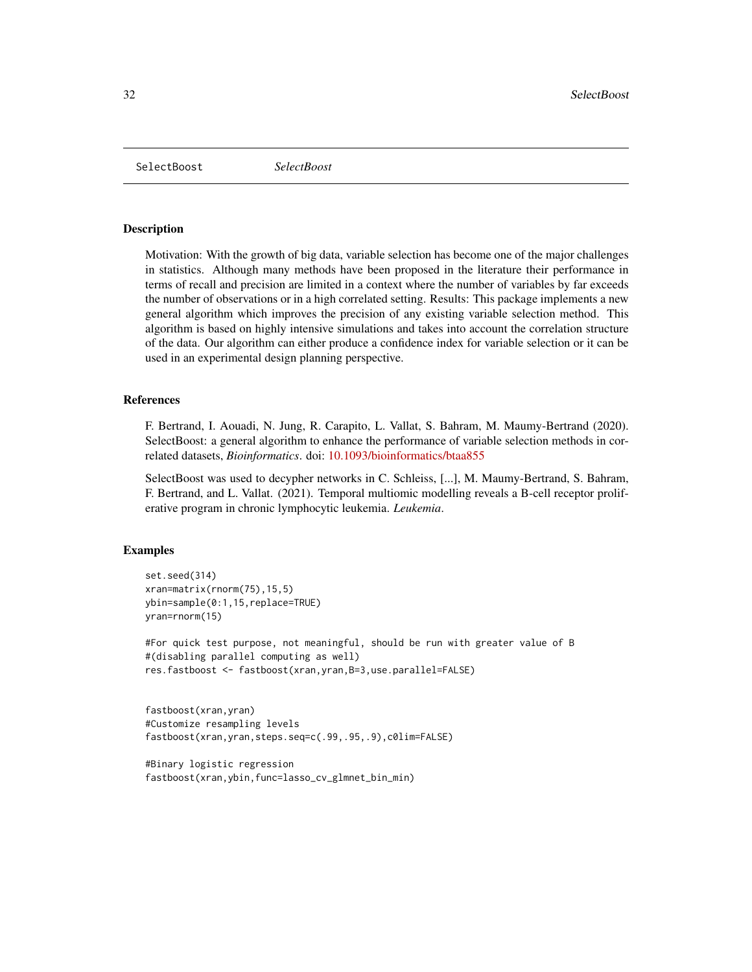<span id="page-31-0"></span>SelectBoost *SelectBoost*

## **Description**

Motivation: With the growth of big data, variable selection has become one of the major challenges in statistics. Although many methods have been proposed in the literature their performance in terms of recall and precision are limited in a context where the number of variables by far exceeds the number of observations or in a high correlated setting. Results: This package implements a new general algorithm which improves the precision of any existing variable selection method. This algorithm is based on highly intensive simulations and takes into account the correlation structure of the data. Our algorithm can either produce a confidence index for variable selection or it can be used in an experimental design planning perspective.

## References

F. Bertrand, I. Aouadi, N. Jung, R. Carapito, L. Vallat, S. Bahram, M. Maumy-Bertrand (2020). SelectBoost: a general algorithm to enhance the performance of variable selection methods in correlated datasets, *Bioinformatics*. doi: [10.1093/bioinformatics/btaa855](https://doi.org/10.1093/bioinformatics/btaa855)

SelectBoost was used to decypher networks in C. Schleiss, [...], M. Maumy-Bertrand, S. Bahram, F. Bertrand, and L. Vallat. (2021). Temporal multiomic modelling reveals a B-cell receptor proliferative program in chronic lymphocytic leukemia. *Leukemia*.

#### Examples

```
set.seed(314)
xran=matrix(rnorm(75),15,5)
ybin=sample(0:1,15,replace=TRUE)
yran=rnorm(15)
```
#For quick test purpose, not meaningful, should be run with greater value of B #(disabling parallel computing as well) res.fastboost <- fastboost(xran,yran,B=3,use.parallel=FALSE)

```
fastboost(xran,yran)
#Customize resampling levels
fastboost(xran,yran,steps.seq=c(.99,.95,.9),c0lim=FALSE)
```

```
#Binary logistic regression
fastboost(xran,ybin,func=lasso_cv_glmnet_bin_min)
```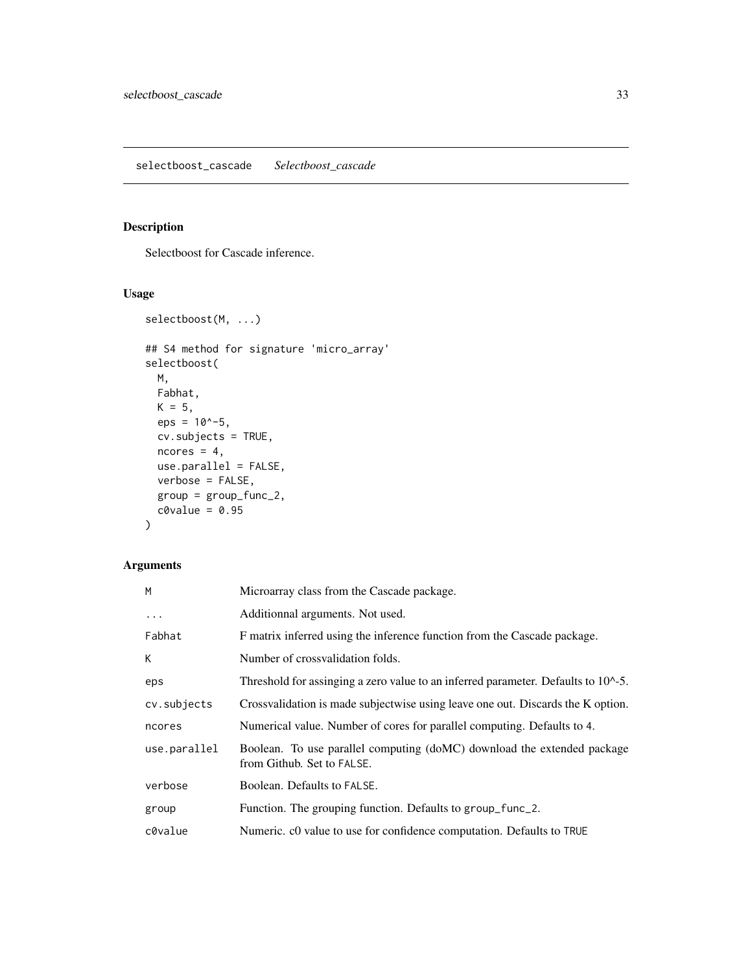## <span id="page-32-2"></span><span id="page-32-1"></span><span id="page-32-0"></span>Description

Selectboost for Cascade inference.

## Usage

```
selectboost(M, ...)
## S4 method for signature 'micro_array'
selectboost(
 M,
 Fabhat,
 K = 5,
 eps = 10^{\circ}-5,
 cv.subjects = TRUE,
 ncores = 4,
 use.parallel = FALSE,
 verbose = FALSE,
 group = group_func_2,
 c0value = 0.95)
```
## Arguments

| M            | Microarray class from the Cascade package.                                                            |
|--------------|-------------------------------------------------------------------------------------------------------|
| $\cdots$     | Additionnal arguments. Not used.                                                                      |
| Fabhat       | F matrix inferred using the inference function from the Cascade package.                              |
| К            | Number of crossvalidation folds.                                                                      |
| eps          | Threshold for assinging a zero value to an inferred parameter. Defaults to 10^-5.                     |
| cv.subjects  | Crossvalidation is made subjectwise using leave one out. Discards the K option.                       |
| ncores       | Numerical value. Number of cores for parallel computing. Defaults to 4.                               |
| use.parallel | Boolean. To use parallel computing (doMC) download the extended package<br>from Github. Set to FALSE. |
| verbose      | Boolean. Defaults to FALSE.                                                                           |
| group        | Function. The grouping function. Defaults to group_func_2.                                            |
| c0value      | Numeric. c0 value to use for confidence computation. Defaults to TRUE                                 |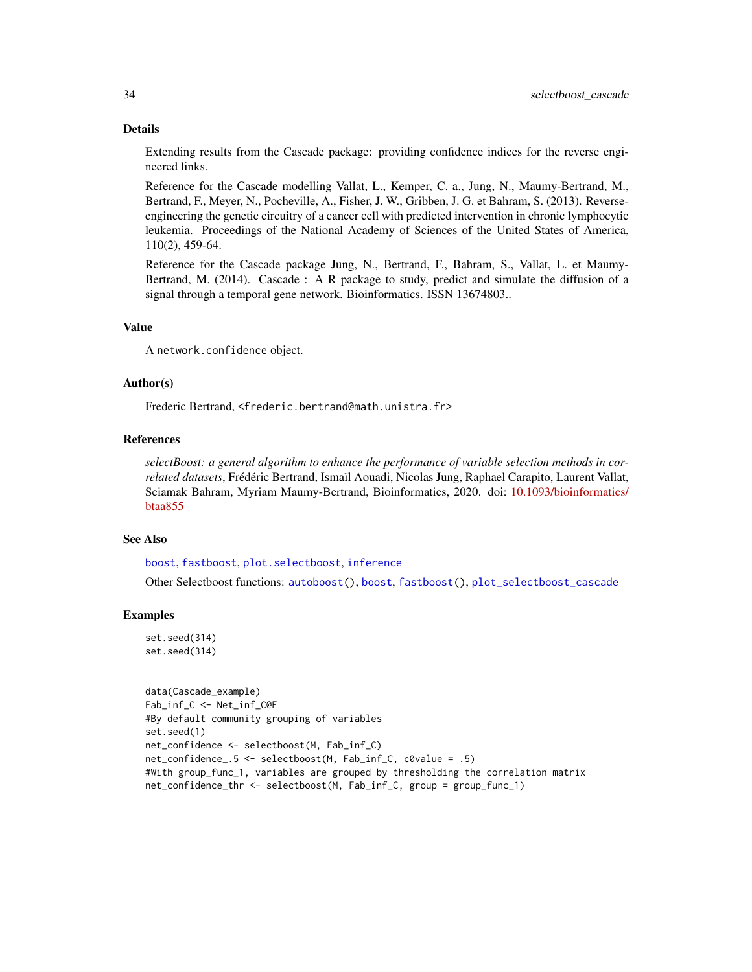#### Details

Extending results from the Cascade package: providing confidence indices for the reverse engineered links.

Reference for the Cascade modelling Vallat, L., Kemper, C. a., Jung, N., Maumy-Bertrand, M., Bertrand, F., Meyer, N., Pocheville, A., Fisher, J. W., Gribben, J. G. et Bahram, S. (2013). Reverseengineering the genetic circuitry of a cancer cell with predicted intervention in chronic lymphocytic leukemia. Proceedings of the National Academy of Sciences of the United States of America, 110(2), 459-64.

Reference for the Cascade package Jung, N., Bertrand, F., Bahram, S., Vallat, L. et Maumy-Bertrand, M. (2014). Cascade : A R package to study, predict and simulate the diffusion of a signal through a temporal gene network. Bioinformatics. ISSN 13674803..

#### Value

A network.confidence object.

#### Author(s)

Frederic Bertrand, <frederic.bertrand@math.unistra.fr>

#### References

*selectBoost: a general algorithm to enhance the performance of variable selection methods in correlated datasets*, Frédéric Bertrand, Ismaïl Aouadi, Nicolas Jung, Raphael Carapito, Laurent Vallat, Seiamak Bahram, Myriam Maumy-Bertrand, Bioinformatics, 2020. doi: [10.1093/bioinformatics/](https://doi.org/10.1093/bioinformatics/btaa855) [btaa855](https://doi.org/10.1093/bioinformatics/btaa855)

## See Also

[boost](#page-9-1), [fastboost](#page-13-1), [plot.selectboost](#page-21-1), [inference](#page-0-0)

Other Selectboost functions: [autoboost\(](#page-5-1)), [boost](#page-9-1), [fastboost\(](#page-13-1)), [plot\\_selectboost\\_cascade](#page-24-1)

#### Examples

```
set.seed(314)
set.seed(314)
```

```
data(Cascade_example)
Fab_inf_C <- Net_inf_C@F
#By default community grouping of variables
set.seed(1)
net_confidence <- selectboost(M, Fab_inf_C)
net_confidence_.5 <- selectboost(M, Fab_inf_C, c0value = .5)
#With group_func_1, variables are grouped by thresholding the correlation matrix
net_confidence_thr <- selectboost(M, Fab_inf_C, group = group_func_1)
```
<span id="page-33-0"></span>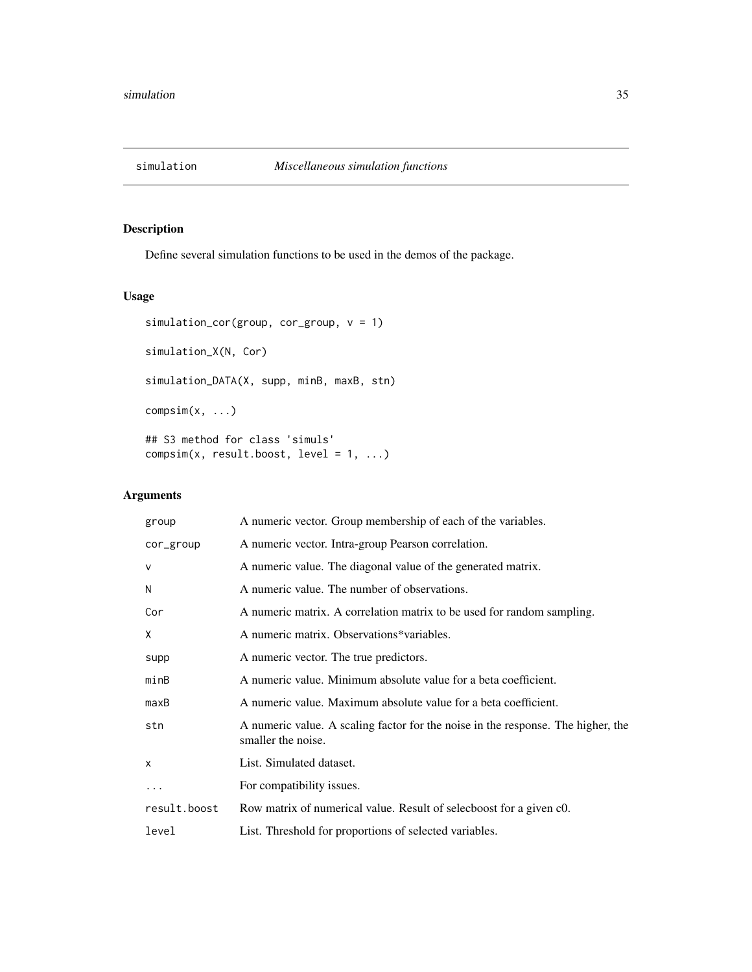<span id="page-34-0"></span>

## Description

Define several simulation functions to be used in the demos of the package.

## Usage

```
simulation_cor(group, cor_group, v = 1)
simulation_X(N, Cor)
simulation_DATA(X, supp, minB, maxB, stn)
compsim(x, ...)
## S3 method for class 'simuls'
compsim(x, result.boost, level = 1, ...)
```
## Arguments

| group        | A numeric vector. Group membership of each of the variables.                                           |
|--------------|--------------------------------------------------------------------------------------------------------|
| cor_group    | A numeric vector. Intra-group Pearson correlation.                                                     |
| $\mathsf{V}$ | A numeric value. The diagonal value of the generated matrix.                                           |
| N            | A numeric value. The number of observations.                                                           |
| Cor          | A numeric matrix. A correlation matrix to be used for random sampling.                                 |
| X            | A numeric matrix. Observations*variables.                                                              |
| supp         | A numeric vector. The true predictors.                                                                 |
| minB         | A numeric value. Minimum absolute value for a beta coefficient.                                        |
| maxB         | A numeric value. Maximum absolute value for a beta coefficient.                                        |
| stn          | A numeric value. A scaling factor for the noise in the response. The higher, the<br>smaller the noise. |
| $\mathsf{x}$ | List. Simulated dataset.                                                                               |
|              | For compatibility issues.                                                                              |
| result.boost | Row matrix of numerical value. Result of selecboost for a given c0.                                    |
| level        | List. Threshold for proportions of selected variables.                                                 |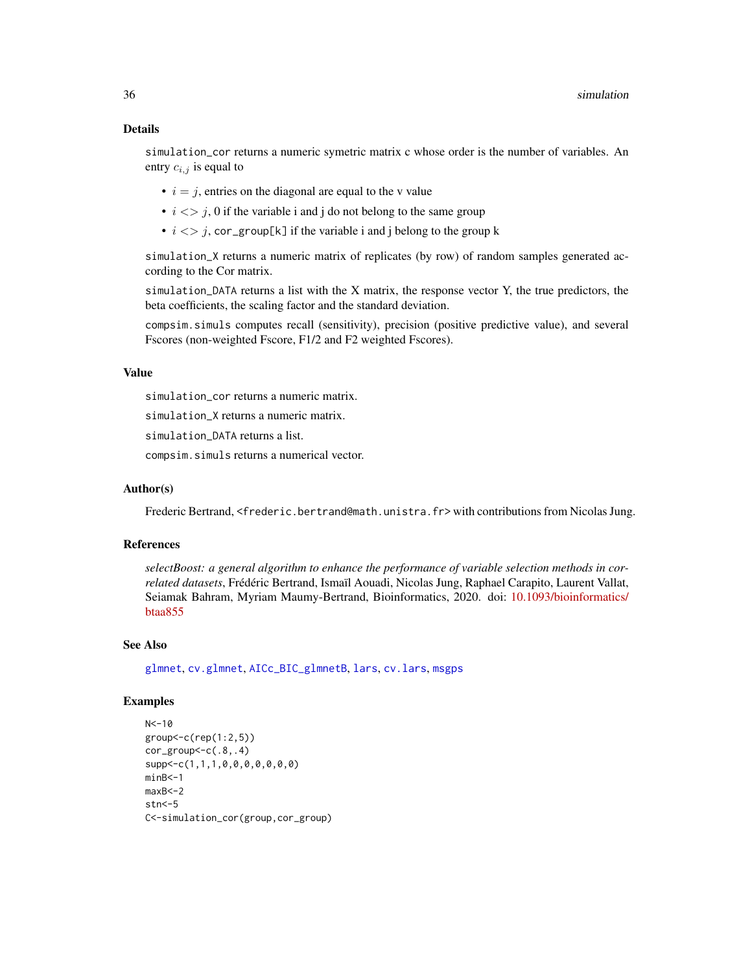## <span id="page-35-0"></span>Details

simulation\_cor returns a numeric symetric matrix c whose order is the number of variables. An entry  $c_{i,j}$  is equal to

- $i = j$ , entries on the diagonal are equal to the v value
- $i \leq j$ , 0 if the variable i and j do not belong to the same group
- $i \leq j$ , cor\_group[k] if the variable i and j belong to the group k

simulation\_X returns a numeric matrix of replicates (by row) of random samples generated according to the Cor matrix.

simulation\_DATA returns a list with the X matrix, the response vector Y, the true predictors, the beta coefficients, the scaling factor and the standard deviation.

compsim.simuls computes recall (sensitivity), precision (positive predictive value), and several Fscores (non-weighted Fscore, F1/2 and F2 weighted Fscores).

## Value

simulation\_cor returns a numeric matrix.

simulation\_X returns a numeric matrix.

simulation\_DATA returns a list.

compsim.simuls returns a numerical vector.

#### Author(s)

Frederic Bertrand, <frederic.bertrand@math.unistra.fr> with contributions from Nicolas Jung.

## References

*selectBoost: a general algorithm to enhance the performance of variable selection methods in correlated datasets*, Frédéric Bertrand, Ismaïl Aouadi, Nicolas Jung, Raphael Carapito, Laurent Vallat, Seiamak Bahram, Myriam Maumy-Bertrand, Bioinformatics, 2020. doi: [10.1093/bioinformatics/](https://doi.org/10.1093/bioinformatics/btaa855) [btaa855](https://doi.org/10.1093/bioinformatics/btaa855)

#### See Also

[glmnet](#page-0-0), [cv.glmnet](#page-0-0), [AICc\\_BIC\\_glmnetB](#page-2-1), [lars](#page-0-0), [cv.lars](#page-0-0), [msgps](#page-0-0)

#### Examples

```
N < -10group<-c(rep(1:2,5))
cor\_group < -c(.8,.4)supp<-c(1,1,1,0,0,0,0,0,0,0)
minB<-1
maxB<-2
str < -5C<-simulation_cor(group,cor_group)
```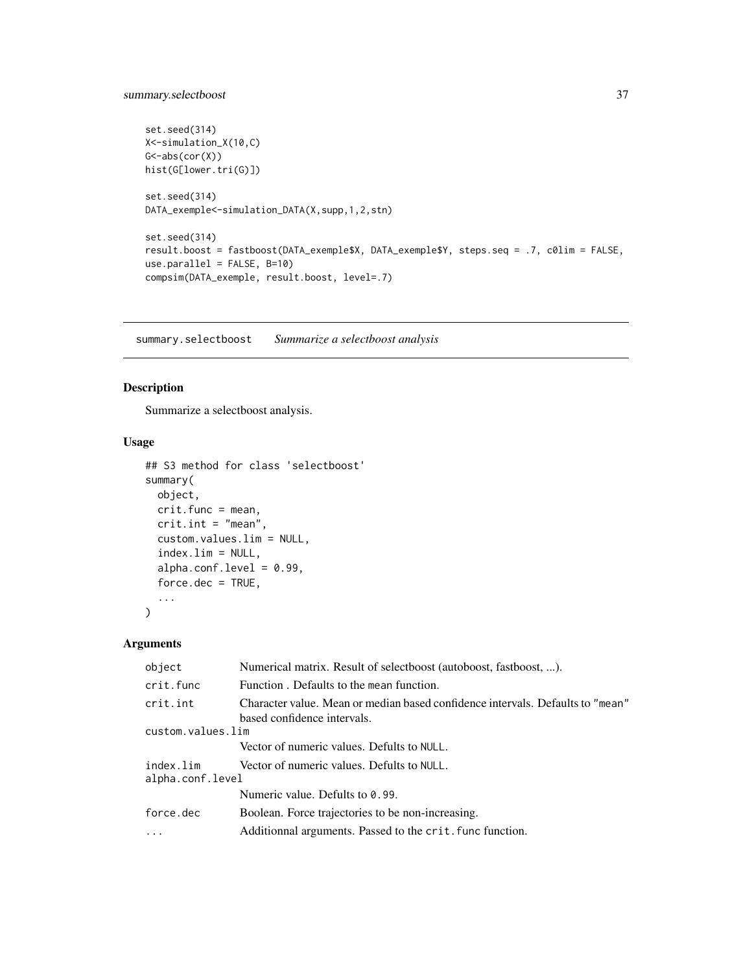```
set.seed(314)
X<-simulation_X(10,C)
G <-abs(cor(X))
hist(G[lower.tri(G)])
set.seed(314)
DATA_exemple<-simulation_DATA(X,supp,1,2,stn)
set.seed(314)
result.boost = fastboost(DATA_exemple$X, DATA_exemple$Y, steps.seq = .7, c0lim = FALSE,
use.parallel = FALSE, B=10)
compsim(DATA_exemple, result.boost, level=.7)
```
<span id="page-36-1"></span>summary.selectboost *Summarize a selectboost analysis*

## Description

Summarize a selectboost analysis.

#### Usage

```
## S3 method for class 'selectboost'
summary(
 object,
 crit.func = mean,
  crit.int = "mean",custom.values.lim = NULL,
  index.lim = NULL,
  alpha.conf.level = 0.99,
  force.dec = TRUE,
  ...
\mathcal{L}
```
#### Arguments

| object                        | Numerical matrix. Result of selectboost (autoboost, fastboost, ).                                             |
|-------------------------------|---------------------------------------------------------------------------------------------------------------|
| crit.func                     | Function. Defaults to the mean function.                                                                      |
| crit.int                      | Character value. Mean or median based confidence intervals. Defaults to "mean"<br>based confidence intervals. |
| custom.values.lim             |                                                                                                               |
|                               | Vector of numeric values. Defults to NULL.                                                                    |
| index.lim<br>alpha.conf.level | Vector of numeric values. Defults to NULL.                                                                    |
|                               | Numeric value. Defults to 0.99.                                                                               |
| force.dec                     | Boolean. Force trajectories to be non-increasing.                                                             |
|                               | Additionnal arguments. Passed to the crit, func function.                                                     |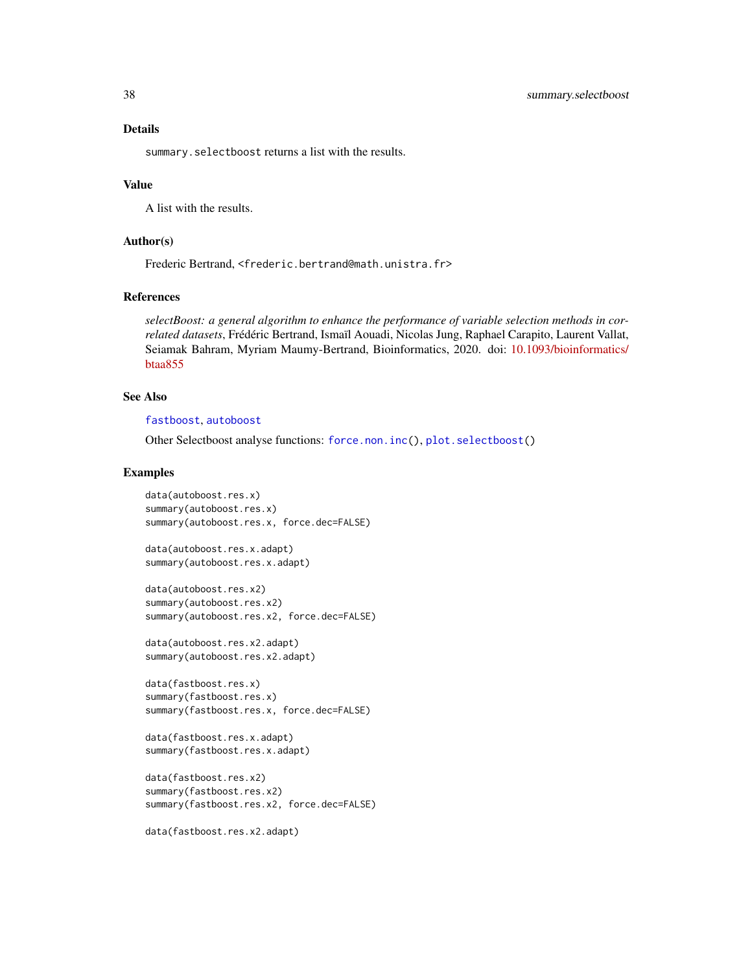<span id="page-37-0"></span>summary. selectboost returns a list with the results.

#### Value

A list with the results.

## Author(s)

Frederic Bertrand, <frederic.bertrand@math.unistra.fr>

## References

*selectBoost: a general algorithm to enhance the performance of variable selection methods in correlated datasets*, Frédéric Bertrand, Ismaïl Aouadi, Nicolas Jung, Raphael Carapito, Laurent Vallat, Seiamak Bahram, Myriam Maumy-Bertrand, Bioinformatics, 2020. doi: [10.1093/bioinformatics/](https://doi.org/10.1093/bioinformatics/btaa855) [btaa855](https://doi.org/10.1093/bioinformatics/btaa855)

## See Also

#### [fastboost](#page-13-1), [autoboost](#page-5-1)

Other Selectboost analyse functions: [force.non.inc\(](#page-17-1)), [plot.selectboost\(](#page-21-1))

#### Examples

```
data(autoboost.res.x)
summary(autoboost.res.x)
summary(autoboost.res.x, force.dec=FALSE)
```

```
data(autoboost.res.x.adapt)
summary(autoboost.res.x.adapt)
```

```
data(autoboost.res.x2)
summary(autoboost.res.x2)
summary(autoboost.res.x2, force.dec=FALSE)
```
data(autoboost.res.x2.adapt) summary(autoboost.res.x2.adapt)

```
data(fastboost.res.x)
summary(fastboost.res.x)
summary(fastboost.res.x, force.dec=FALSE)
```

```
data(fastboost.res.x.adapt)
summary(fastboost.res.x.adapt)
```

```
data(fastboost.res.x2)
summary(fastboost.res.x2)
summary(fastboost.res.x2, force.dec=FALSE)
```

```
data(fastboost.res.x2.adapt)
```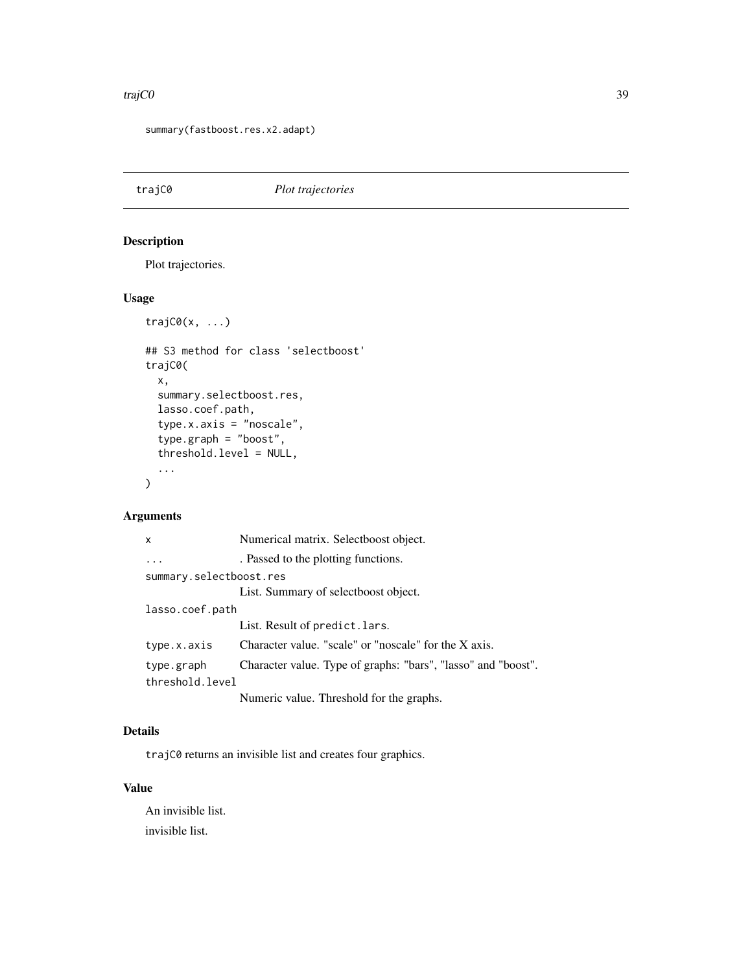#### <span id="page-38-0"></span>traj $CO$  39

summary(fastboost.res.x2.adapt)

<span id="page-38-1"></span>trajC0 *Plot trajectories*

## Description

Plot trajectories.

## Usage

```
trajC0(x, ...)
## S3 method for class 'selectboost'
trajC0(
 x,
  summary.selectboost.res,
 lasso.coef.path,
  type.x.axis = "noscale",
  type.graph = "boost",
  threshold.level = NULL,
  ...
\mathcal{L}
```
## Arguments

| X                       | Numerical matrix. Selectboost object.                         |
|-------------------------|---------------------------------------------------------------|
|                         | . Passed to the plotting functions.                           |
| summary.selectboost.res |                                                               |
|                         | List. Summary of selectboost object.                          |
| lasso.coef.path         |                                                               |
|                         | List. Result of predict. lars.                                |
| type.x.axis             | Character value. "scale" or "noscale" for the X axis.         |
| type.graph              | Character value. Type of graphs: "bars", "lasso" and "boost". |
| threshold.level         |                                                               |
|                         | Numeric value. Threshold for the graphs.                      |

## Details

trajC0 returns an invisible list and creates four graphics.

## Value

An invisible list. invisible list.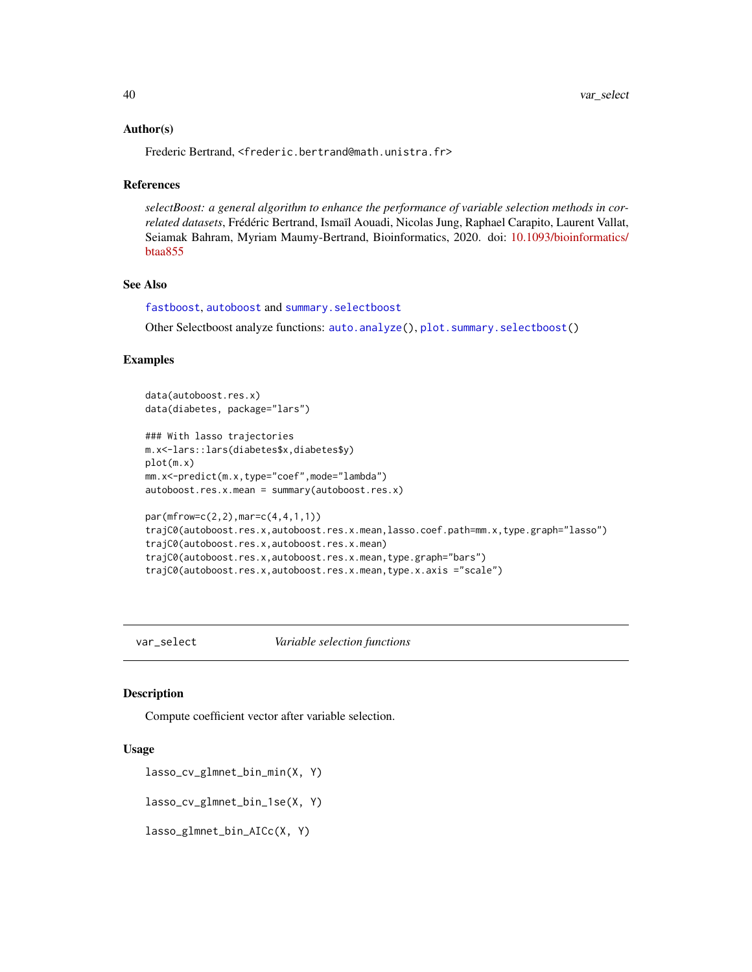#### <span id="page-39-0"></span>Author(s)

Frederic Bertrand, <frederic.bertrand@math.unistra.fr>

#### References

*selectBoost: a general algorithm to enhance the performance of variable selection methods in correlated datasets*, Frédéric Bertrand, Ismaïl Aouadi, Nicolas Jung, Raphael Carapito, Laurent Vallat, Seiamak Bahram, Myriam Maumy-Bertrand, Bioinformatics, 2020. doi: [10.1093/bioinformatics/](https://doi.org/10.1093/bioinformatics/btaa855) [btaa855](https://doi.org/10.1093/bioinformatics/btaa855)

## See Also

[fastboost](#page-13-1), [autoboost](#page-5-1) and [summary.selectboost](#page-36-1)

Other Selectboost analyze functions: [auto.analyze\(](#page-3-1)), [plot.summary.selectboost\(](#page-23-1))

#### Examples

```
data(autoboost.res.x)
data(diabetes, package="lars")
### With lasso trajectories
m.x<-lars::lars(diabetes$x,diabetes$y)
plot(m.x)
mm.x<-predict(m.x,type="coef",mode="lambda")
autoboost.res.x.mean = summary(autoboost.res.x)
par(mfrow=c(2,2),mar=c(4,4,1,1))
trajC0(autoboost.res.x,autoboost.res.x.mean,lasso.coef.path=mm.x,type.graph="lasso")
trajC0(autoboost.res.x,autoboost.res.x.mean)
trajC0(autoboost.res.x,autoboost.res.x.mean,type.graph="bars")
trajC0(autoboost.res.x,autoboost.res.x.mean,type.x.axis ="scale")
```
<span id="page-39-1"></span>var\_select *Variable selection functions*

#### Description

Compute coefficient vector after variable selection.

#### Usage

```
lasso_cv_glmnet_bin_min(X, Y)
```
lasso\_cv\_glmnet\_bin\_1se(X, Y)

lasso\_glmnet\_bin\_AICc(X, Y)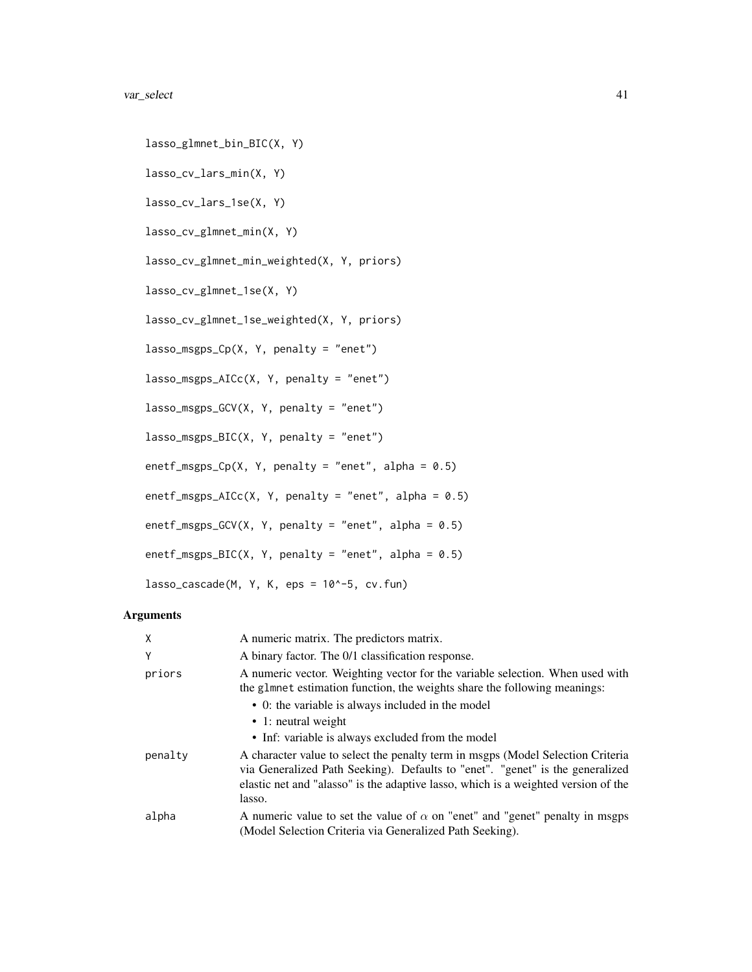```
lasso_glmnet_bin_BIC(X, Y)
lasso_cv_lars_min(X, Y)
lasso_cv_lars_1se(X, Y)
lasso_cv_glmnet_min(X, Y)
lasso_cv_glmnet_min_weighted(X, Y, priors)
lasso_cv_glmnet_1se(X, Y)
lasso_cv_glmnet_1se_weighted(X, Y, priors)
lasso_msgps_Cp(X, Y, penalty = "enet")
lasso_msgps_AICc(X, Y, penalty = "enet")
lasso_msgps_GCV(X, Y, penalty = "enet")lasso_msgps_BIC(X, Y, penalty = "enet")
enetf_msgps_Cp(X, Y, penalty = "enet", alpha = 0.5)
enetf_msgps_AICc(X, Y, penalty = "enet", alpha = 0.5)
enetf_msgps_GCV(X, Y, penalty = "enet", alpha = 0.5)
enetf_msgps_BIC(X, Y, penalty = "enet", alpha = 0.5)
lasso_cascade(M, Y, K, eps = 10^-5, cv.fun)
```
## Arguments

| $\times$ | A numeric matrix. The predictors matrix.                                                                                                                                                                                                                         |
|----------|------------------------------------------------------------------------------------------------------------------------------------------------------------------------------------------------------------------------------------------------------------------|
| Y        | A binary factor. The 0/1 classification response.                                                                                                                                                                                                                |
| priors   | A numeric vector. Weighting vector for the variable selection. When used with<br>the glmnet estimation function, the weights share the following meanings:                                                                                                       |
|          | • 0: the variable is always included in the model                                                                                                                                                                                                                |
|          | $\bullet$ 1: neutral weight                                                                                                                                                                                                                                      |
|          | • Inf: variable is always excluded from the model                                                                                                                                                                                                                |
| penalty  | A character value to select the penalty term in msgps (Model Selection Criteria<br>via Generalized Path Seeking). Defaults to "enet". "genet" is the generalized<br>elastic net and "alasso" is the adaptive lasso, which is a weighted version of the<br>lasso. |
| alpha    | A numeric value to set the value of $\alpha$ on "enet" and "genet" penalty in msgps<br>(Model Selection Criteria via Generalized Path Seeking).                                                                                                                  |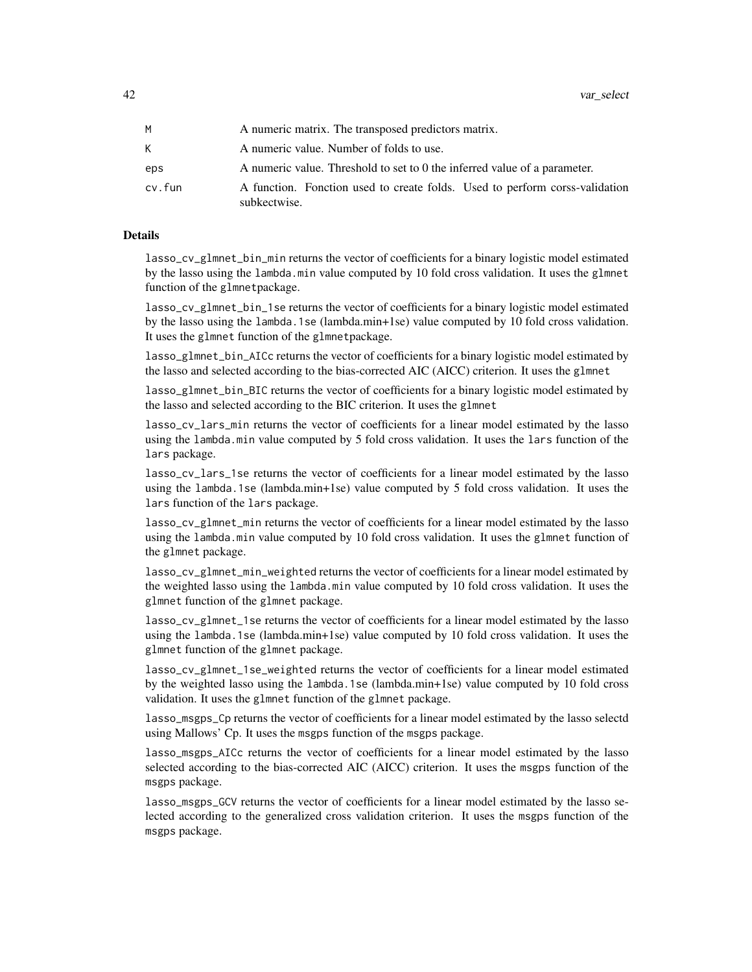|        | A numeric matrix. The transposed predictors matrix.                                         |
|--------|---------------------------------------------------------------------------------------------|
| K.     | A numeric value. Number of folds to use.                                                    |
| eps    | A numeric value. Threshold to set to 0 the inferred value of a parameter.                   |
| cv.fun | A function. Fonction used to create folds. Used to perform corss-validation<br>subkectwise. |

## Details

lasso\_cv\_glmnet\_bin\_min returns the vector of coefficients for a binary logistic model estimated by the lasso using the lambda.min value computed by 10 fold cross validation. It uses the glmnet function of the glmnetpackage.

lasso\_cv\_glmnet\_bin\_1se returns the vector of coefficients for a binary logistic model estimated by the lasso using the lambda.1se (lambda.min+1se) value computed by 10 fold cross validation. It uses the glmnet function of the glmnetpackage.

lasso\_glmnet\_bin\_AICc returns the vector of coefficients for a binary logistic model estimated by the lasso and selected according to the bias-corrected AIC (AICC) criterion. It uses the glmnet

lasso\_glmnet\_bin\_BIC returns the vector of coefficients for a binary logistic model estimated by the lasso and selected according to the BIC criterion. It uses the glmnet

lasso\_cv\_lars\_min returns the vector of coefficients for a linear model estimated by the lasso using the lambda.min value computed by 5 fold cross validation. It uses the lars function of the lars package.

lasso\_cv\_lars\_1se returns the vector of coefficients for a linear model estimated by the lasso using the lambda.1se (lambda.min+1se) value computed by 5 fold cross validation. It uses the lars function of the lars package.

lasso\_cv\_glmnet\_min returns the vector of coefficients for a linear model estimated by the lasso using the lambda.min value computed by 10 fold cross validation. It uses the glmnet function of the glmnet package.

lasso\_cv\_glmnet\_min\_weighted returns the vector of coefficients for a linear model estimated by the weighted lasso using the lambda.min value computed by 10 fold cross validation. It uses the glmnet function of the glmnet package.

lasso\_cv\_glmnet\_1se returns the vector of coefficients for a linear model estimated by the lasso using the lambda.1se (lambda.min+1se) value computed by 10 fold cross validation. It uses the glmnet function of the glmnet package.

lasso\_cv\_glmnet\_1se\_weighted returns the vector of coefficients for a linear model estimated by the weighted lasso using the lambda.1se (lambda.min+1se) value computed by 10 fold cross validation. It uses the glmnet function of the glmnet package.

lasso\_msgps\_Cp returns the vector of coefficients for a linear model estimated by the lasso selectd using Mallows' Cp. It uses the msgps function of the msgps package.

lasso\_msgps\_AICc returns the vector of coefficients for a linear model estimated by the lasso selected according to the bias-corrected AIC (AICC) criterion. It uses the msgps function of the msgps package.

lasso\_msgps\_GCV returns the vector of coefficients for a linear model estimated by the lasso selected according to the generalized cross validation criterion. It uses the msgps function of the msgps package.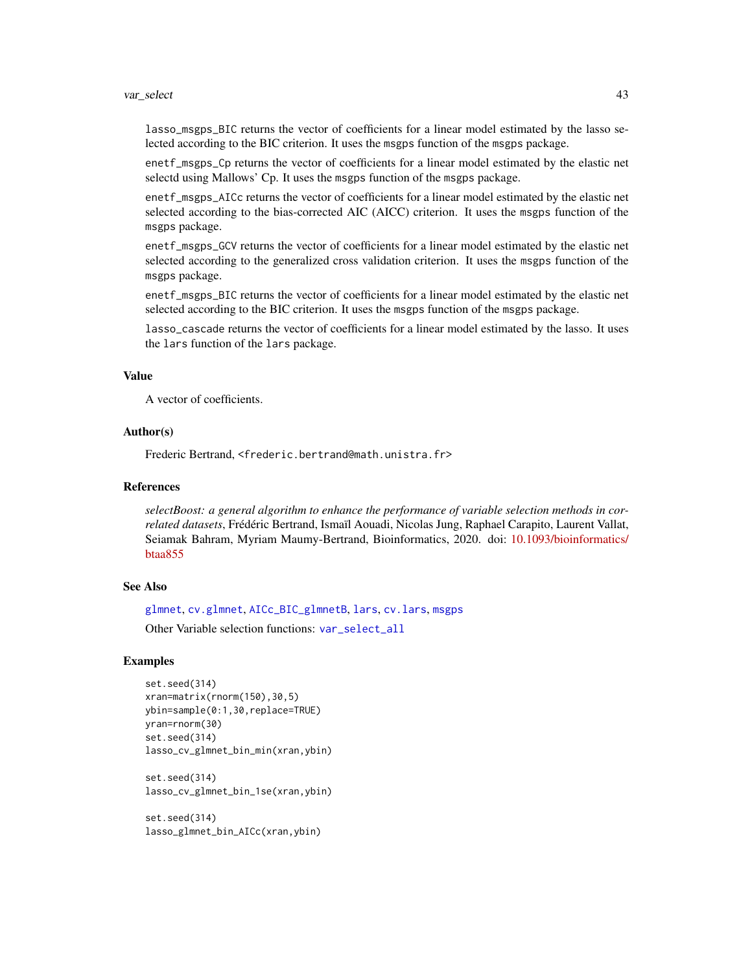#### <span id="page-42-0"></span>var\_select 43

lasso\_msgps\_BIC returns the vector of coefficients for a linear model estimated by the lasso selected according to the BIC criterion. It uses the msgps function of the msgps package.

enetf\_msgps\_Cp returns the vector of coefficients for a linear model estimated by the elastic net selectd using Mallows' Cp. It uses the msgps function of the msgps package.

enetf\_msgps\_AICc returns the vector of coefficients for a linear model estimated by the elastic net selected according to the bias-corrected AIC (AICC) criterion. It uses the msgps function of the msgps package.

enetf\_msgps\_GCV returns the vector of coefficients for a linear model estimated by the elastic net selected according to the generalized cross validation criterion. It uses the msgps function of the msgps package.

enetf\_msgps\_BIC returns the vector of coefficients for a linear model estimated by the elastic net selected according to the BIC criterion. It uses the msgps function of the msgps package.

lasso\_cascade returns the vector of coefficients for a linear model estimated by the lasso. It uses the lars function of the lars package.

#### Value

A vector of coefficients.

## Author(s)

Frederic Bertrand, <frederic.bertrand@math.unistra.fr>

#### References

*selectBoost: a general algorithm to enhance the performance of variable selection methods in correlated datasets*, Frédéric Bertrand, Ismaïl Aouadi, Nicolas Jung, Raphael Carapito, Laurent Vallat, Seiamak Bahram, Myriam Maumy-Bertrand, Bioinformatics, 2020. doi: [10.1093/bioinformatics/](https://doi.org/10.1093/bioinformatics/btaa855) [btaa855](https://doi.org/10.1093/bioinformatics/btaa855)

#### See Also

[glmnet](#page-0-0), [cv.glmnet](#page-0-0), [AICc\\_BIC\\_glmnetB](#page-2-1), [lars](#page-0-0), [cv.lars](#page-0-0), [msgps](#page-0-0)

Other Variable selection functions: [var\\_select\\_all](#page-43-1)

#### Examples

```
set.seed(314)
xran=matrix(rnorm(150),30,5)
ybin=sample(0:1,30,replace=TRUE)
yran=rnorm(30)
set.seed(314)
lasso_cv_glmnet_bin_min(xran,ybin)
```
set.seed(314) lasso\_cv\_glmnet\_bin\_1se(xran,ybin)

set.seed(314) lasso\_glmnet\_bin\_AICc(xran,ybin)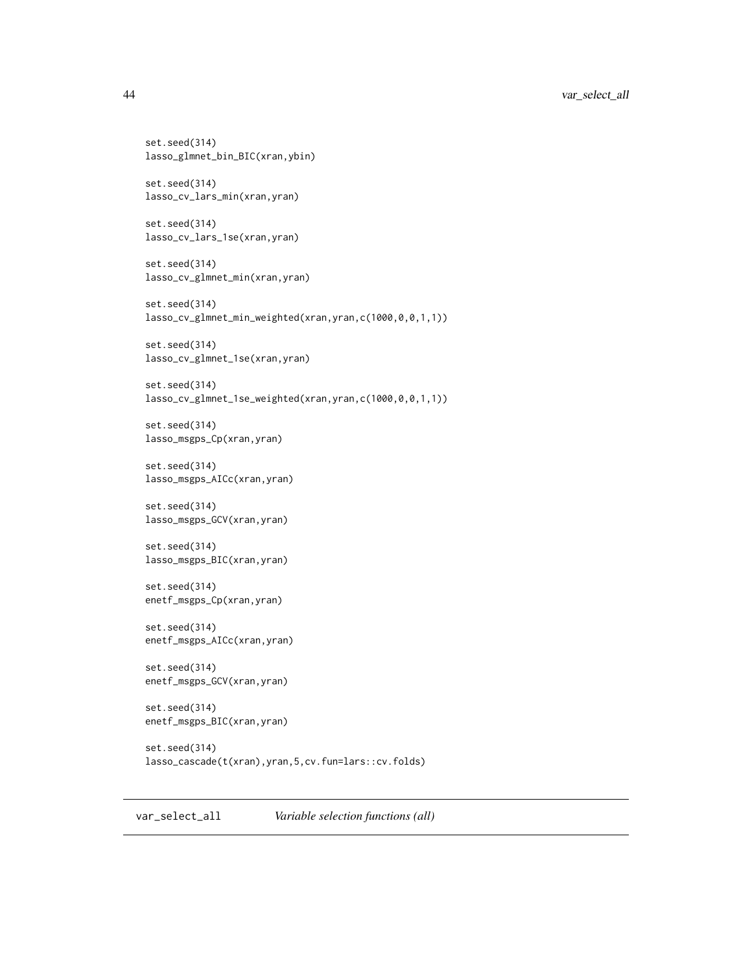```
set.seed(314)
lasso_glmnet_bin_BIC(xran,ybin)
set.seed(314)
lasso_cv_lars_min(xran,yran)
set.seed(314)
lasso_cv_lars_1se(xran,yran)
set.seed(314)
lasso_cv_glmnet_min(xran,yran)
set.seed(314)
lasso_cv_glmnet_min_weighted(xran,yran,c(1000,0,0,1,1))
set.seed(314)
lasso_cv_glmnet_1se(xran,yran)
set.seed(314)
lasso_cv_glmnet_1se_weighted(xran,yran,c(1000,0,0,1,1))
set.seed(314)
lasso_msgps_Cp(xran,yran)
set.seed(314)
lasso_msgps_AICc(xran,yran)
set.seed(314)
lasso_msgps_GCV(xran,yran)
set.seed(314)
lasso_msgps_BIC(xran,yran)
set.seed(314)
enetf_msgps_Cp(xran,yran)
set.seed(314)
enetf_msgps_AICc(xran,yran)
set.seed(314)
enetf_msgps_GCV(xran,yran)
set.seed(314)
enetf_msgps_BIC(xran,yran)
set.seed(314)
lasso_cascade(t(xran),yran,5,cv.fun=lars::cv.folds)
```
<span id="page-43-1"></span>var\_select\_all *Variable selection functions (all)*

<span id="page-43-0"></span>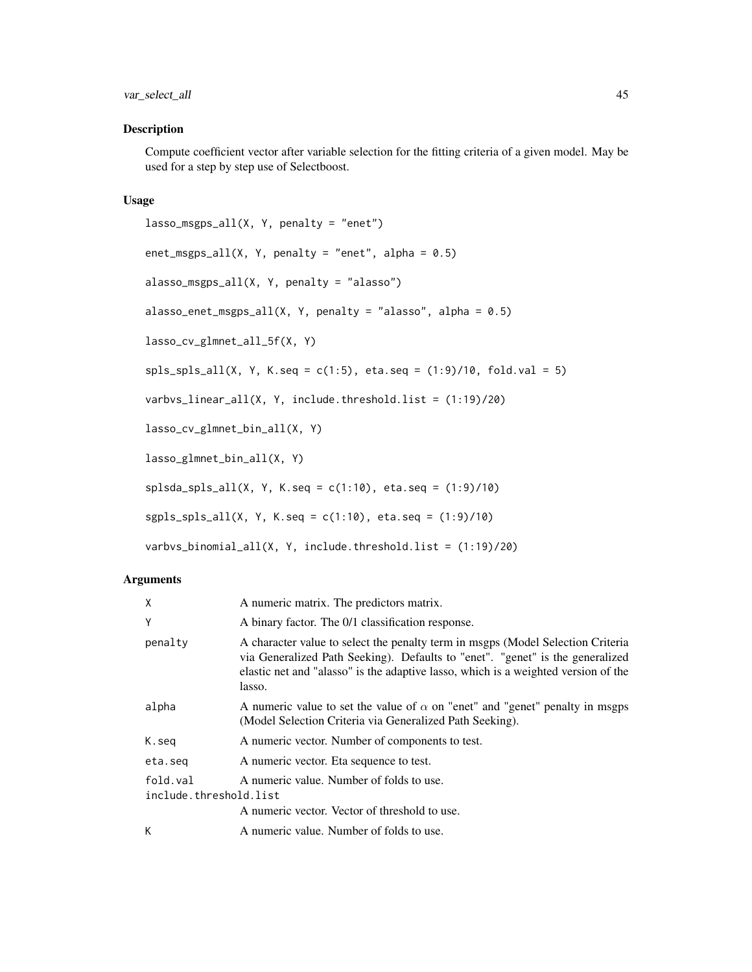## <span id="page-44-0"></span>Description

Compute coefficient vector after variable selection for the fitting criteria of a given model. May be used for a step by step use of Selectboost.

## Usage

```
lasso_msgps_all(X, Y, penalty = "enet")enet_msgps_all(X, Y, penalty = "enet", alpha = 0.5)
alasso_msgps_all(X, Y, penalty = "alasso")
alasso\_enet_msgps\_all(X, Y, penalty = "alasso", alpha = 0.5)lasso_cv_glmnet_all_5f(X, Y)
spls_spls_all(X, Y, K.seq = c(1:5), eta.seq = (1:9)/10, fold.val = 5)varbvs_linear_all(X, Y, include.threshold.list = (1:19)/20)
lasso_cv_glmnet_bin_all(X, Y)
lasso_glmnet_bin_all(X, Y)
splsda_spls_all(X, Y, K.seq = c(1:10), eta.seq = (1:9)/10)sgpls_spls_all(X, Y, K.seq = c(1:10), eta.seq = (1:9)/10)
varbvs_binomial_all(X, Y, include.threshold.list = (1:19)/20)
```
## Arguments

| X                                  | A numeric matrix. The predictors matrix.                                                                                                                                                                                                                         |
|------------------------------------|------------------------------------------------------------------------------------------------------------------------------------------------------------------------------------------------------------------------------------------------------------------|
| Y                                  | A binary factor. The 0/1 classification response.                                                                                                                                                                                                                |
| penalty                            | A character value to select the penalty term in msgps (Model Selection Criteria<br>via Generalized Path Seeking). Defaults to "enet". "genet" is the generalized<br>elastic net and "alasso" is the adaptive lasso, which is a weighted version of the<br>lasso. |
| alpha                              | A numeric value to set the value of $\alpha$ on "enet" and "genet" penalty in msgps<br>(Model Selection Criteria via Generalized Path Seeking).                                                                                                                  |
| K.seg                              | A numeric vector. Number of components to test.                                                                                                                                                                                                                  |
| eta.seq                            | A numeric vector. Eta sequence to test.                                                                                                                                                                                                                          |
| fold.val<br>include.threshold.list | A numeric value. Number of folds to use.<br>A numeric vector. Vector of threshold to use.                                                                                                                                                                        |
| К                                  | A numeric value. Number of folds to use.                                                                                                                                                                                                                         |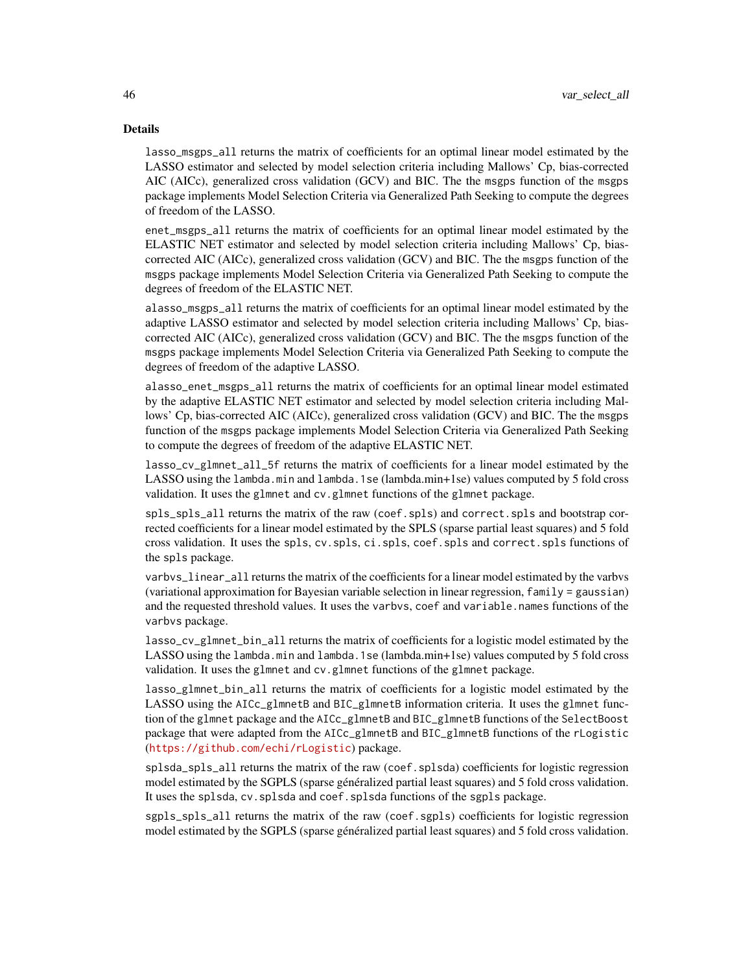#### Details

lasso\_msgps\_all returns the matrix of coefficients for an optimal linear model estimated by the LASSO estimator and selected by model selection criteria including Mallows' Cp, bias-corrected AIC (AICc), generalized cross validation (GCV) and BIC. The the msgps function of the msgps package implements Model Selection Criteria via Generalized Path Seeking to compute the degrees of freedom of the LASSO.

enet\_msgps\_all returns the matrix of coefficients for an optimal linear model estimated by the ELASTIC NET estimator and selected by model selection criteria including Mallows' Cp, biascorrected AIC (AICc), generalized cross validation (GCV) and BIC. The the msgps function of the msgps package implements Model Selection Criteria via Generalized Path Seeking to compute the degrees of freedom of the ELASTIC NET.

alasso\_msgps\_all returns the matrix of coefficients for an optimal linear model estimated by the adaptive LASSO estimator and selected by model selection criteria including Mallows' Cp, biascorrected AIC (AICc), generalized cross validation (GCV) and BIC. The the msgps function of the msgps package implements Model Selection Criteria via Generalized Path Seeking to compute the degrees of freedom of the adaptive LASSO.

alasso\_enet\_msgps\_all returns the matrix of coefficients for an optimal linear model estimated by the adaptive ELASTIC NET estimator and selected by model selection criteria including Mallows' Cp, bias-corrected AIC (AICc), generalized cross validation (GCV) and BIC. The the msgps function of the msgps package implements Model Selection Criteria via Generalized Path Seeking to compute the degrees of freedom of the adaptive ELASTIC NET.

lasso\_cv\_glmnet\_all\_5f returns the matrix of coefficients for a linear model estimated by the LASSO using the lambda.min and lambda.1se (lambda.min+1se) values computed by 5 fold cross validation. It uses the glmnet and cv.glmnet functions of the glmnet package.

spls\_spls\_all returns the matrix of the raw (coef.spls) and correct.spls and bootstrap corrected coefficients for a linear model estimated by the SPLS (sparse partial least squares) and 5 fold cross validation. It uses the spls, cv.spls, ci.spls, coef.spls and correct.spls functions of the spls package.

varbvs\_linear\_all returns the matrix of the coefficients for a linear model estimated by the varbvs (variational approximation for Bayesian variable selection in linear regression, family = gaussian) and the requested threshold values. It uses the varbvs, coef and variable.names functions of the varbvs package.

lasso\_cv\_glmnet\_bin\_all returns the matrix of coefficients for a logistic model estimated by the LASSO using the lambda.min and lambda.1se (lambda.min+1se) values computed by 5 fold cross validation. It uses the glmnet and cv.glmnet functions of the glmnet package.

lasso\_glmnet\_bin\_all returns the matrix of coefficients for a logistic model estimated by the LASSO using the AICc\_glmnetB and BIC\_glmnetB information criteria. It uses the glmnet function of the glmnet package and the AICc\_glmnetB and BIC\_glmnetB functions of the SelectBoost package that were adapted from the AICc\_glmnetB and BIC\_glmnetB functions of the rLogistic (<https://github.com/echi/rLogistic>) package.

splsda\_spls\_all returns the matrix of the raw (coef.splsda) coefficients for logistic regression model estimated by the SGPLS (sparse généralized partial least squares) and 5 fold cross validation. It uses the splsda, cv.splsda and coef.splsda functions of the sgpls package.

sgpls\_spls\_all returns the matrix of the raw (coef.sgpls) coefficients for logistic regression model estimated by the SGPLS (sparse généralized partial least squares) and 5 fold cross validation.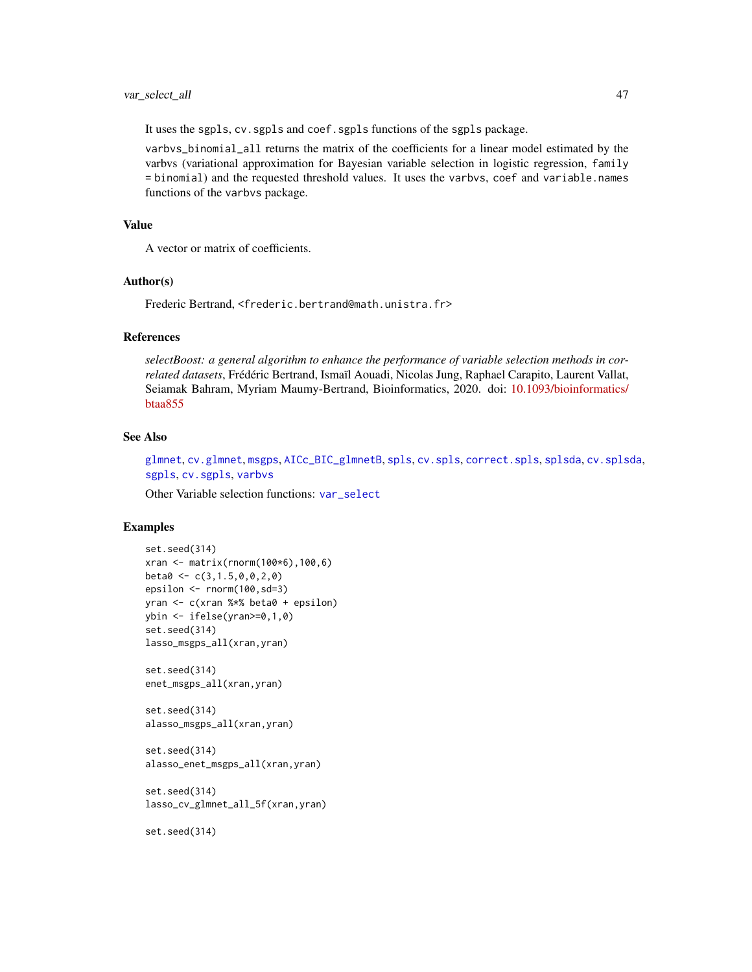<span id="page-46-0"></span>It uses the sgpls, cv. sgpls and coef. sgpls functions of the sgpls package.

varbvs\_binomial\_all returns the matrix of the coefficients for a linear model estimated by the varbvs (variational approximation for Bayesian variable selection in logistic regression, family = binomial) and the requested threshold values. It uses the varbvs, coef and variable.names functions of the varbvs package.

## Value

A vector or matrix of coefficients.

## Author(s)

Frederic Bertrand, <frederic.bertrand@math.unistra.fr>

#### References

*selectBoost: a general algorithm to enhance the performance of variable selection methods in correlated datasets*, Frédéric Bertrand, Ismaïl Aouadi, Nicolas Jung, Raphael Carapito, Laurent Vallat, Seiamak Bahram, Myriam Maumy-Bertrand, Bioinformatics, 2020. doi: [10.1093/bioinformatics/](https://doi.org/10.1093/bioinformatics/btaa855) [btaa855](https://doi.org/10.1093/bioinformatics/btaa855)

## See Also

[glmnet](#page-0-0), [cv.glmnet](#page-0-0), [msgps](#page-0-0), [AICc\\_BIC\\_glmnetB](#page-2-1), [spls](#page-0-0), [cv.spls](#page-0-0), [correct.spls](#page-0-0), [splsda](#page-0-0), [cv.splsda](#page-0-0), [sgpls](#page-0-0), [cv.sgpls](#page-0-0), [varbvs](#page-0-0)

Other Variable selection functions: [var\\_select](#page-39-1)

#### Examples

```
set.seed(314)
xran <- matrix(rnorm(100*6),100,6)
beta < -c(3, 1.5, 0, 0, 2, 0)epsilon <- rnorm(100,sd=3)
yran <- c(xran %*% beta0 + epsilon)
ybin <- ifelse(yran>=0,1,0)
set.seed(314)
lasso_msgps_all(xran,yran)
set.seed(314)
```

```
enet_msgps_all(xran,yran)
```

```
set.seed(314)
alasso_msgps_all(xran,yran)
```

```
set.seed(314)
alasso_enet_msgps_all(xran,yran)
```

```
set.seed(314)
lasso_cv_glmnet_all_5f(xran,yran)
```
set.seed(314)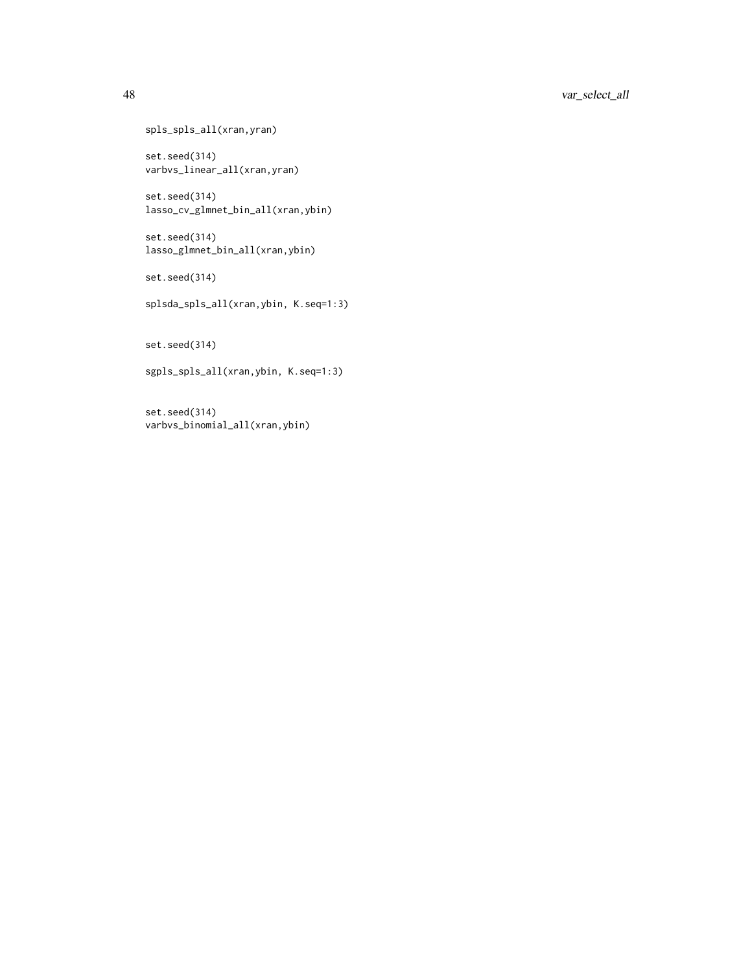```
spls_spls_all(xran,yran)
```
set.seed(314) varbvs\_linear\_all(xran,yran)

set.seed(314) lasso\_cv\_glmnet\_bin\_all(xran,ybin)

set.seed(314) lasso\_glmnet\_bin\_all(xran,ybin)

set.seed(314)

splsda\_spls\_all(xran,ybin, K.seq=1:3)

set.seed(314)

sgpls\_spls\_all(xran,ybin, K.seq=1:3)

set.seed(314) varbvs\_binomial\_all(xran,ybin)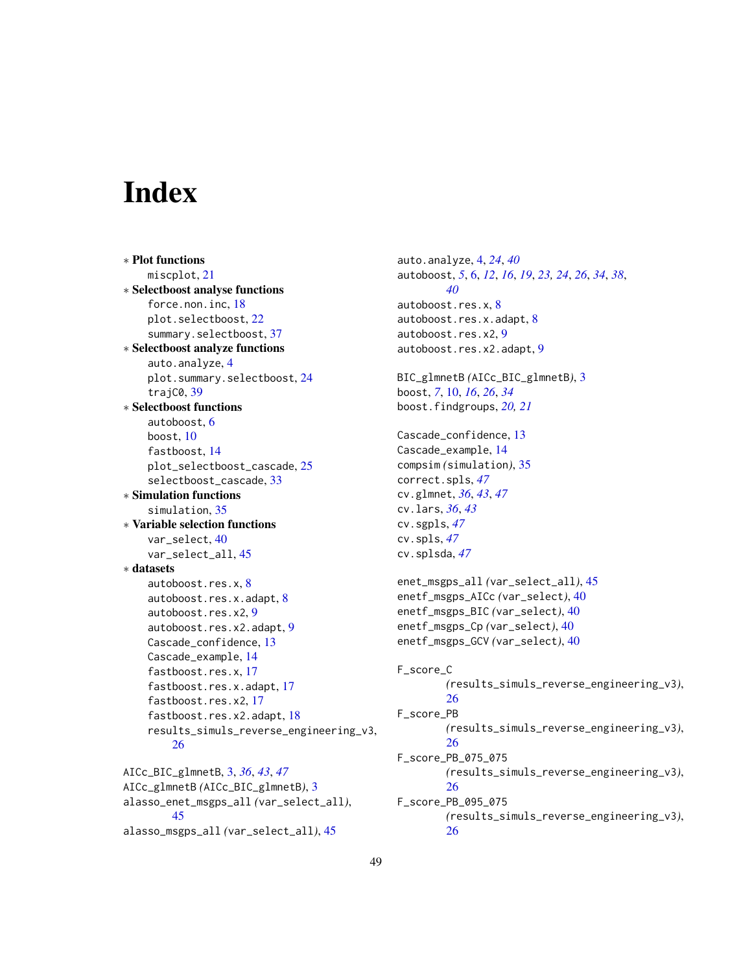# <span id="page-48-0"></span>**Index**

∗ Plot functions miscplot, [21](#page-20-0) ∗ Selectboost analyse functions force.non.inc, [18](#page-17-0) plot.selectboost, [22](#page-21-0) summary.selectboost, [37](#page-36-0) ∗ Selectboost analyze functions auto.analyze, [4](#page-3-0) plot.summary.selectboost, [24](#page-23-0) trajC0, [39](#page-38-0) ∗ Selectboost functions autoboost, [6](#page-5-0) boost, [10](#page-9-0) fastboost, [14](#page-13-0) plot\_selectboost\_cascade, [25](#page-24-0) selectboost\_cascade, [33](#page-32-0) ∗ Simulation functions simulation, [35](#page-34-0) ∗ Variable selection functions var\_select, [40](#page-39-0) var\_select\_all, [45](#page-44-0) ∗ datasets autoboost.res.x, [8](#page-7-0) autoboost.res.x.adapt, [8](#page-7-0) autoboost.res.x2, [9](#page-8-0) autoboost.res.x2.adapt, [9](#page-8-0) Cascade\_confidence, [13](#page-12-0) Cascade\_example, [14](#page-13-0) fastboost.res.x, [17](#page-16-0) fastboost.res.x.adapt, [17](#page-16-0) fastboost.res.x2, [17](#page-16-0) fastboost.res.x2.adapt, [18](#page-17-0) results\_simuls\_reverse\_engineering\_v3, [26](#page-25-0) AICc\_BIC\_glmnetB, [3,](#page-2-0) *[36](#page-35-0)*, *[43](#page-42-0)*, *[47](#page-46-0)* AICc\_glmnetB *(*AICc\_BIC\_glmnetB*)*, [3](#page-2-0) alasso\_enet\_msgps\_all *(*var\_select\_all*)*,

[45](#page-44-0) alasso\_msgps\_all *(*var\_select\_all*)*, [45](#page-44-0)

auto.analyze, [4,](#page-3-0) *[24](#page-23-0)*, *[40](#page-39-0)* autoboost, *[5](#page-4-0)*, [6,](#page-5-0) *[12](#page-11-0)*, *[16](#page-15-0)*, *[19](#page-18-0)*, *[23,](#page-22-0) [24](#page-23-0)*, *[26](#page-25-0)*, *[34](#page-33-0)*, *[38](#page-37-0)*, *[40](#page-39-0)* autoboost.res.x, [8](#page-7-0) autoboost.res.x.adapt, [8](#page-7-0) autoboost.res.x2, [9](#page-8-0) autoboost.res.x2.adapt, [9](#page-8-0) BIC\_glmnetB *(*AICc\_BIC\_glmnetB*)*, [3](#page-2-0) boost, *[7](#page-6-0)*, [10,](#page-9-0) *[16](#page-15-0)*, *[26](#page-25-0)*, *[34](#page-33-0)* boost.findgroups, *[20,](#page-19-0) [21](#page-20-0)* Cascade\_confidence, [13](#page-12-0) Cascade\_example, [14](#page-13-0) compsim *(*simulation*)*, [35](#page-34-0) correct.spls, *[47](#page-46-0)* cv.glmnet, *[36](#page-35-0)*, *[43](#page-42-0)*, *[47](#page-46-0)* cv.lars, *[36](#page-35-0)*, *[43](#page-42-0)* cv.sgpls, *[47](#page-46-0)* cv.spls, *[47](#page-46-0)* cv.splsda, *[47](#page-46-0)* enet\_msgps\_all *(*var\_select\_all*)*, [45](#page-44-0) enetf\_msgps\_AICc *(*var\_select*)*, [40](#page-39-0) enetf\_msgps\_BIC *(*var\_select*)*, [40](#page-39-0) enetf\_msgps\_Cp *(*var\_select*)*, [40](#page-39-0) enetf\_msgps\_GCV *(*var\_select*)*, [40](#page-39-0) F\_score\_C *(*results\_simuls\_reverse\_engineering\_v3*)*, [26](#page-25-0) F\_score\_PB *(*results\_simuls\_reverse\_engineering\_v3*)*, [26](#page-25-0) F\_score\_PB\_075\_075 *(*results\_simuls\_reverse\_engineering\_v3*)*, [26](#page-25-0) F\_score\_PB\_095\_075 *(*results\_simuls\_reverse\_engineering\_v3*)*, [26](#page-25-0)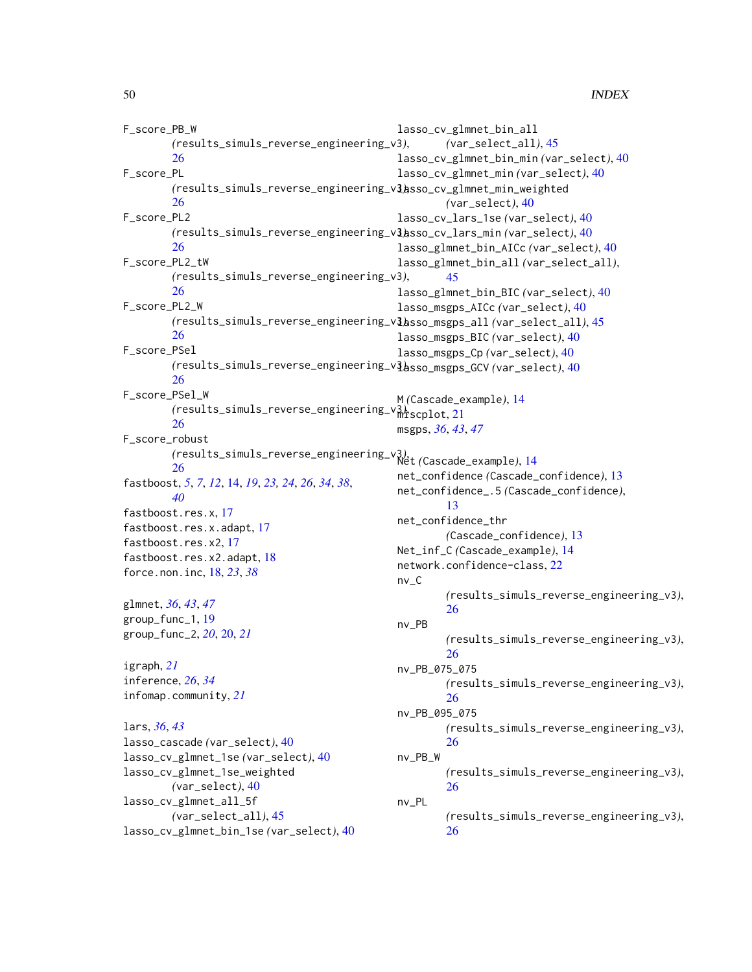```
F_score_PB_W
        (results_simuls_reverse_engineering_v3),
        26
F_score_PL
        (results_simuls_reverse_engineering_v3),
lasso_cv_glmnet_min_weighted
        26
F_score_PL2
        (results_simuls_reverse_engineering_v3),
lasso_cv_lars_min (var_select), 40
        26
F_score_PL2_tW
        (results_simuls_reverse_engineering_v3),
        26
F_score_PL2_W
        (results_simuls_reverse_engineering_v3),
lasso_msgps_all (var_select_all), 45
        26
F_score_PSel
        (results_simuls_reverse_engineering_v3),
lasso_msgps_GCV (var_select), 40
        26
F_score_PSel_W
        (results_simuls_reverse_engineering_v3),
miscplot, 21
        26
F_score_robust
        (results_simuls_reverse_engineering_v3),
Net (Cascade_example), 14
        26
fastboost, 5, 7, 12, 14, 19, 23, 24, 26, 34, 38,
        40
fastboost.res.x, 17
fastboost.res.x.adapt, 17
fastboost.res.x2, 17
fastboost.res.x2.adapt, 18
force.non.inc, 18, 23, 38
glmnet, 36, 43, 47
group_func_1, 19
group_func_2, 20, 20, 21
igraph, 21
inference, 26, 34
infomap.community, 21
lars, 36, 43
lasso_cascade (var_select), 40
lasso_cv_glmnet_1se (var_select), 40
lasso_cv_glmnet_1se_weighted
        (var_select), 40
lasso_cv_glmnet_all_5f
        (var_select_all), 45
lasso_cv_glmnet_bin_1se (var_select), 40
                                                lasso_cv_glmnet_bin_all
                                                         (var_select_all), 45
                                                lasso_cv_glmnet_bin_min (var_select), 40
                                                lasso_cv_glmnet_min (var_select), 40
                                                         (var_select), 40
                                                lasso_cv_lars_1se (var_select), 40
                                                lasso_glmnet_bin_AICc (var_select), 40
                                                lasso_glmnet_bin_all (var_select_all),
                                                         45
                                                lasso_glmnet_bin_BIC (var_select), 40
                                                lasso_msgps_AICc (var_select), 40
                                                lasso_msgps_BIC (var_select), 40
                                                lasso_msgps_Cp (var_select), 40
                                                M (Cascade_example), 14
                                                msgps, 36, 43, 47
                                                net_confidence (Cascade_confidence), 13
                                                net_confidence_.5 (Cascade_confidence),
                                                         13
                                                net_confidence_thr
                                                         (Cascade_confidence), 13
                                                Net_inf_C (Cascade_example), 14
                                                network.confidence-class, 22
                                                nv_C
                                                         (results_simuls_reverse_engineering_v3),
                                                         26
                                                nv_PB
                                                         (results_simuls_reverse_engineering_v3),
                                                         26
                                                nv_PB_075_075
                                                         (results_simuls_reverse_engineering_v3),
                                                         26
                                                nv_PB_095_075
                                                         (results_simuls_reverse_engineering_v3),
                                                         26
                                                nv_PB_W
                                                         (results_simuls_reverse_engineering_v3),
                                                         26
                                                nv_PL
                                                         (results_simuls_reverse_engineering_v3),
                                                         26
```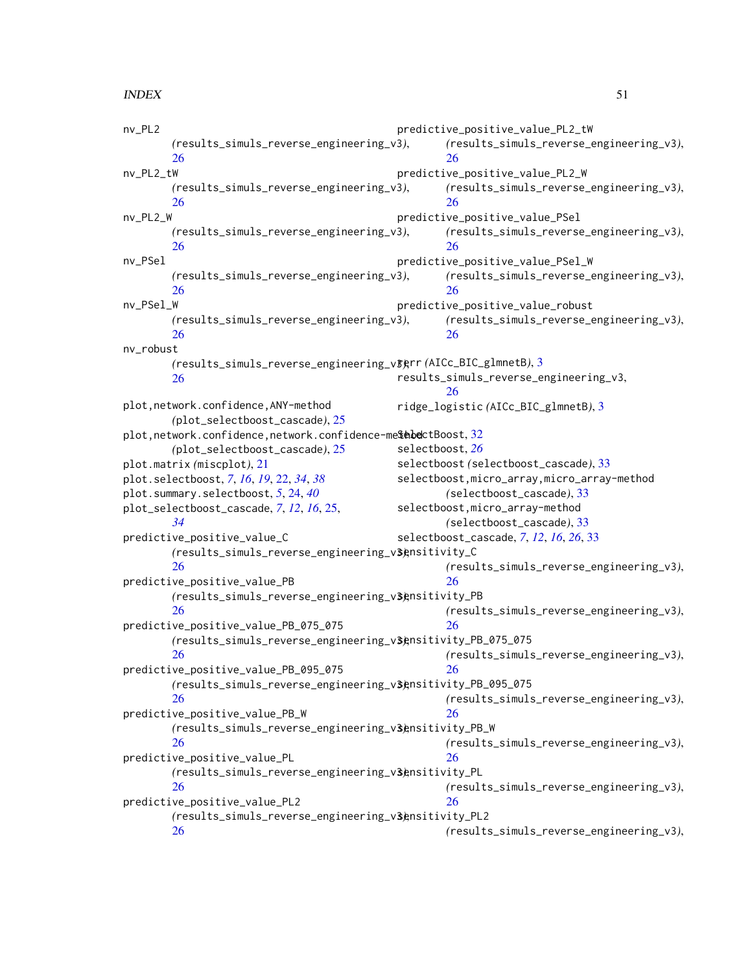#### $I<sub>N</sub>$  in  $I<sub>N</sub>$  is  $I<sub>N</sub>$  in  $I<sub>N</sub>$  in  $I<sub>N</sub>$  in  $I<sub>N</sub>$  in  $I<sub>N</sub>$  in  $I<sub>N</sub>$  in  $I<sub>N</sub>$  in  $I<sub>N</sub>$  in  $I<sub>N</sub>$  in  $I<sub>N</sub>$  in  $I<sub>N</sub>$  in  $I<sub>N</sub>$  in  $I<sub>N</sub>$  in  $I<sub>N</sub>$  in  $I<sub>N</sub>$  in

nv\_PL2 *(*results\_simuls\_reverse\_engineering\_v3*)*, [26](#page-25-0) nv\_PL2\_tW *(*results\_simuls\_reverse\_engineering\_v3*)*, [26](#page-25-0) nv\_PL2\_W *(*results\_simuls\_reverse\_engineering\_v3*)*, [26](#page-25-0) nv\_PSel *(*results\_simuls\_reverse\_engineering\_v3*)*, [26](#page-25-0) nv\_PSel\_W *(*results\_simuls\_reverse\_engineering\_v3*)*, [26](#page-25-0) nv\_robust *(*results\_simuls\_reverse\_engineering\_v3*)*, rerr *(*AICc\_BIC\_glmnetB*)*, [3](#page-2-0) [26](#page-25-0) plot,network.confidence,ANY-method *(*plot\_selectboost\_cascade*)*, [25](#page-24-0) plot,network.confidence,network.confidence-me**\$ebe**ctBoost,[32](#page-31-0) *(*plot\_selectboost\_cascade*)*, [25](#page-24-0) plot.matrix *(*miscplot*)*, [21](#page-20-0) plot.selectboost, *[7](#page-6-0)*, *[16](#page-15-0)*, *[19](#page-18-0)*, [22,](#page-21-0) *[34](#page-33-0)*, *[38](#page-37-0)* plot.summary.selectboost, *[5](#page-4-0)*, [24,](#page-23-0) *[40](#page-39-0)* plot\_selectboost\_cascade, *[7](#page-6-0)*, *[12](#page-11-0)*, *[16](#page-15-0)*, [25,](#page-24-0) *[34](#page-33-0)* predictive\_positive\_value\_C *(*results\_simuls\_reverse\_engineering\_v3*)*, sensitivity\_C [26](#page-25-0) predictive\_positive\_value\_PB *(*results\_simuls\_reverse\_engineering\_v3*)*, sensitivity\_PB [26](#page-25-0) predictive\_positive\_value\_PB\_075\_075 *(*results\_simuls\_reverse\_engineering\_v3*)*, sensitivity\_PB\_075\_075 [26](#page-25-0) predictive\_positive\_value\_PB\_095\_075 *(*results\_simuls\_reverse\_engineering\_v3*)*, sensitivity\_PB\_095\_075 [26](#page-25-0) predictive\_positive\_value\_PB\_W *(*results\_simuls\_reverse\_engineering\_v3*)*, sensitivity\_PB\_W [26](#page-25-0) predictive\_positive\_value\_PL *(*results\_simuls\_reverse\_engineering\_v3*)*, sensitivity\_PL [26](#page-25-0) predictive\_positive\_value\_PL2 *(*results\_simuls\_reverse\_engineering\_v3*)*, sensitivity\_PL2 [26](#page-25-0) predictive\_positive\_value\_PL2\_tW *(*results\_simuls\_reverse\_engineering\_v3*)*, [26](#page-25-0) predictive\_positive\_value\_PL2\_W *(*results\_simuls\_reverse\_engineering\_v3*)*, [26](#page-25-0) predictive\_positive\_value\_PSel *(*results\_simuls\_reverse\_engineering\_v3*)*, [26](#page-25-0) predictive\_positive\_value\_PSel\_W *(*results\_simuls\_reverse\_engineering\_v3*)*, [26](#page-25-0) predictive\_positive\_value\_robust *(*results\_simuls\_reverse\_engineering\_v3*)*, [26](#page-25-0) results\_simuls\_reverse\_engineering\_v3, [26](#page-25-0) ridge\_logistic *(*AICc\_BIC\_glmnetB*)*, [3](#page-2-0) selectboost, *[26](#page-25-0)* selectboost *(*selectboost\_cascade*)*, [33](#page-32-0) selectboost,micro\_array,micro\_array-method *(*selectboost\_cascade*)*, [33](#page-32-0) selectboost,micro\_array-method *(*selectboost\_cascade*)*, [33](#page-32-0) selectboost\_cascade, *[7](#page-6-0)*, *[12](#page-11-0)*, *[16](#page-15-0)*, *[26](#page-25-0)*, [33](#page-32-0) *(*results\_simuls\_reverse\_engineering\_v3*)*, [26](#page-25-0) *(*results\_simuls\_reverse\_engineering\_v3*)*, [26](#page-25-0) *(*results\_simuls\_reverse\_engineering\_v3*)*, [26](#page-25-0) *(*results\_simuls\_reverse\_engineering\_v3*)*, [26](#page-25-0) *(*results\_simuls\_reverse\_engineering\_v3*)*, [26](#page-25-0) *(*results\_simuls\_reverse\_engineering\_v3*)*, [26](#page-25-0) *(*results\_simuls\_reverse\_engineering\_v3*)*,